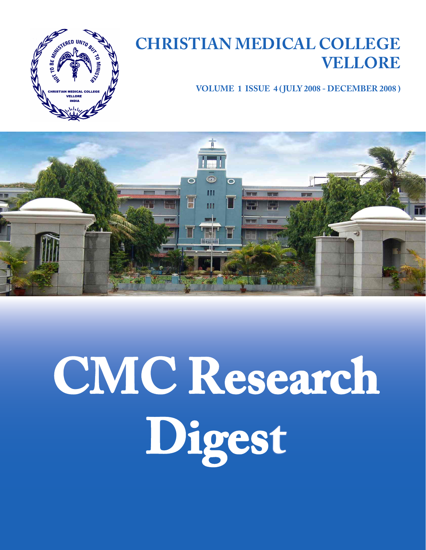

### **CHRISTIAN MEDICAL COLLEGE VELLORE**

**VOLUME 1 ISSUE 4 ( JULY 2008 - DECEMBER 2008 )**



# **CMC Research Digest**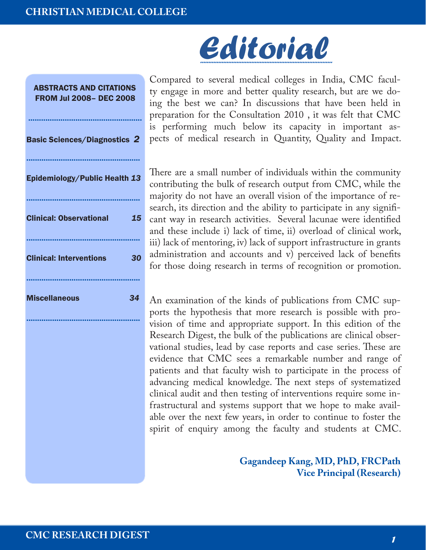

# *Editorial ................................................................................*

Compared to several medical colleges in India, CMC faculty engage in more and better quality research, but are we doing the best we can? In discussions that have been held in preparation for the Consultation 2010 , it was felt that CMC is performing much below its capacity in important aspects of medical research in Quantity, Quality and Impact.

There are a small number of individuals within the community contributing the bulk of research output from CMC, while the majority do not have an overall vision of the importance of research, its direction and the ability to participate in any significant way in research activities. Several lacunae were identified and these include i) lack of time, ii) overload of clinical work, iii) lack of mentoring, iv) lack of support infrastructure in grants administration and accounts and v) perceived lack of benefits for those doing research in terms of recognition or promotion.

An examination of the kinds of publications from CMC supports the hypothesis that more research is possible with provision of time and appropriate support. In this edition of the Research Digest, the bulk of the publications are clinical observational studies, lead by case reports and case series. These are evidence that CMC sees a remarkable number and range of patients and that faculty wish to participate in the process of advancing medical knowledge. The next steps of systematized clinical audit and then testing of interventions require some infrastructural and systems support that we hope to make available over the next few years, in order to continue to foster the spirit of enquiry among the faculty and students at CMC.

> **Gagandeep Kang, MD, PhD, FRCPath Vice Principal (Research)**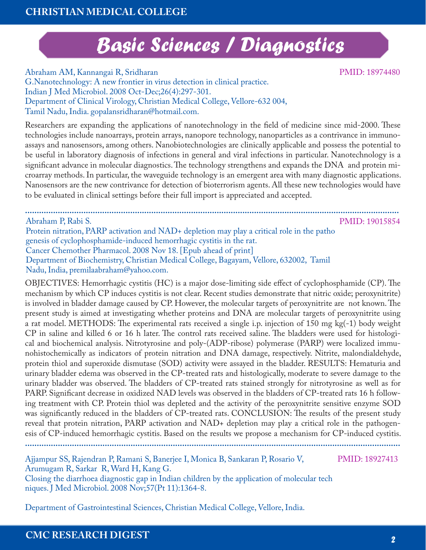## *Basic Sciences / Diagnostics*

Abraham AM, Kannangai R, Sridharan G.Nanotechnology: A new frontier in virus detection in clinical practice. Indian J Med Microbiol. 2008 Oct-Dec;26(4):297-301. Department of Clinical Virology, Christian Medical College, Vellore-632 004, Tamil Nadu, India. gopalansridharan@hotmail.com.

Researchers are expanding the applications of nanotechnology in the field of medicine since mid-2000. These technologies include nanoarrays, protein arrays, nanopore technology, nanoparticles as a contrivance in immunoassays and nanosensors, among others. Nanobiotechnologies are clinically applicable and possess the potential to be useful in laboratory diagnosis of infections in general and viral infections in particular. Nanotechnology is a significant advance in molecular diagnostics. The technology strengthens and expands the DNA and protein microarray methods. In particular, the waveguide technology is an emergent area with many diagnostic applications. Nanosensors are the new contrivance for detection of bioterrorism agents. All these new technologies would have to be evaluated in clinical settings before their full import is appreciated and accepted.

**................................................................................................................................................................** Abraham P, Rabi S. Protein nitration, PARP activation and NAD+ depletion may play a critical role in the patho genesis of cyclophosphamide-induced hemorrhagic cystitis in the rat. Cancer Chemother Pharmacol. 2008 Nov 18. [Epub ahead of print] Department of Biochemistry, Christian Medical College, Bagayam, Vellore, 632002, Tamil Nadu, India, premilaabraham@yahoo.com.

OBJECTIVES: Hemorrhagic cystitis (HC) is a major dose-limiting side effect of cyclophosphamide (CP). The mechanism by which CP induces cystitis is not clear. Recent studies demonstrate that nitric oxide; peroxynitrite) is involved in bladder damage caused by CP. However, the molecular targets of peroxynitrite are not known. The present study is aimed at investigating whether proteins and DNA are molecular targets of peroxynitrite using a rat model. METHODS: The experimental rats received a single i.p. injection of 150 mg kg(-1) body weight CP in saline and killed 6 or 16 h later. The control rats received saline. The bladders were used for histological and biochemical analysis. Nitrotyrosine and poly-(ADP-ribose) polymerase (PARP) were localized immunohistochemically as indicators of protein nitration and DNA damage, respectively. Nitrite, malondialdehyde, protein thiol and superoxide dismutase (SOD) activity were assayed in the bladder. RESULTS: Hematuria and urinary bladder edema was observed in the CP-treated rats and histologically, moderate to severe damage to the urinary bladder was observed. The bladders of CP-treated rats stained strongly for nitrotyrosine as well as for PARP. Significant decrease in oxidized NAD levels was observed in the bladders of CP-treated rats 16 h following treatment with CP. Protein thiol was depleted and the activity of the peroxynitrite sensitive enzyme SOD was significantly reduced in the bladders of CP-treated rats. CONCLUSION: The results of the present study reveal that protein nitration, PARP activation and NAD+ depletion may play a critical role in the pathogenesis of CP-induced hemorrhagic cystitis. Based on the results we propose a mechanism for CP-induced cystitis. **................................................................................................................................................................**

Ajjampur SS, Rajendran P, Ramani S, Banerjee I, Monica B, Sankaran P, Rosario V, Arumugam R, Sarkar R, Ward H, Kang G.

Closing the diarrhoea diagnostic gap in Indian children by the application of molecular tech niques. J Med Microbiol. 2008 Nov;57(Pt 11):1364-8.

Department of Gastrointestinal Sciences, Christian Medical College, Vellore, India.

PMID: 18927413

PMID: 19015854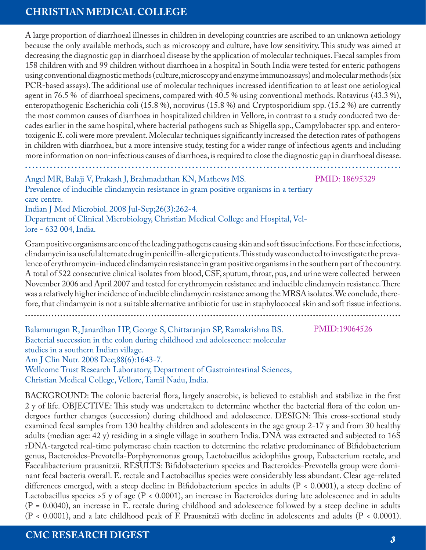A large proportion of diarrhoeal illnesses in children in developing countries are ascribed to an unknown aetiology because the only available methods, such as microscopy and culture, have low sensitivity. This study was aimed at decreasing the diagnostic gap in diarrhoeal disease by the application of molecular techniques. Faecal samples from 158 children with and 99 children without diarrhoea in a hospital in South India were tested for enteric pathogens using conventional diagnostic methods (culture, microscopy and enzyme immunoassays) and molecular methods (six PCR-based assays). The additional use of molecular techniques increased identification to at least one aetiological agent in 76.5 % of diarrhoeal specimens, compared with 40.5 % using conventional methods. Rotavirus (43.3 %), enteropathogenic Escherichia coli (15.8 %), norovirus (15.8 %) and Cryptosporidium spp. (15.2 %) are currently the most common causes of diarrhoea in hospitalized children in Vellore, in contrast to a study conducted two decades earlier in the same hospital, where bacterial pathogens such as Shigella spp., Campylobacter spp. and enterotoxigenic E. coli were more prevalent. Molecular techniques significantly increased the detection rates of pathogens in children with diarrhoea, but a more intensive study, testing for a wider range of infectious agents and including more information on non-infectious causes of diarrhoea, is required to close the diagnostic gap in diarrhoeal disease.

Angel MR, Balaji V, Prakash J, Brahmadathan KN, Mathews MS.

PMID: 18695329

**..........................................................................................................**

Prevalence of inducible clindamycin resistance in gram positive organisms in a tertiary care centre.

Indian J Med Microbiol. 2008 Jul-Sep;26(3):262-4.

Department of Clinical Microbiology, Christian Medical College and Hospital, Vellore - 632 004, India.

Gram positive organisms are one of the leading pathogens causing skin and soft tissue infections. For these infections, clindamycin is a useful alternate drug in penicillin-allergic patients. This study was conducted to investigate the prevalence of erythromycin-induced clindamycin resistance in gram positive organisms in the southern part of the country. A total of 522 consecutive clinical isolates from blood, CSF, sputum, throat, pus, and urine were collected between November 2006 and April 2007 and tested for erythromycin resistance and inducible clindamycin resistance. There was a relatively higher incidence of inducible clindamycin resistance among the MRSA isolates. We conclude, therefore, that clindamycin is not a suitable alternative antibiotic for use in staphylococcal skin and soft tissue infections.

**................................................................................................................................**

PMID:19064526

Balamurugan R, Janardhan HP, George S, Chittaranjan SP, Ramakrishna BS. Bacterial succession in the colon during childhood and adolescence: molecular studies in a southern Indian village. Am J Clin Nutr. 2008 Dec;88(6):1643-7. Wellcome Trust Research Laboratory, Department of Gastrointestinal Sciences,

Christian Medical College, Vellore, Tamil Nadu, India.

BACKGROUND: The colonic bacterial flora, largely anaerobic, is believed to establish and stabilize in the first 2 y of life. OBJECTIVE: This study was undertaken to determine whether the bacterial flora of the colon undergoes further changes (succession) during childhood and adolescence. DESIGN: This cross-sectional study examined fecal samples from 130 healthy children and adolescents in the age group 2-17 y and from 30 healthy adults (median age: 42 y) residing in a single village in southern India. DNA was extracted and subjected to 16S rDNA-targeted real-time polymerase chain reaction to determine the relative predominance of Bifidobacterium genus, Bacteroides-Prevotella-Porphyromonas group, Lactobacillus acidophilus group, Eubacterium rectale, and Faecalibacterium prausnitzii. RESULTS: Bifidobacterium species and Bacteroides-Prevotella group were dominant fecal bacteria overall. E. rectale and Lactobacillus species were considerably less abundant. Clear age-related differences emerged, with a steep decline in Bifidobacterium species in adults (P < 0.0001), a steep decline of Lactobacillus species >5 y of age (P < 0.0001), an increase in Bacteroides during late adolescence and in adults (P = 0.0040), an increase in E. rectale during childhood and adolescence followed by a steep decline in adults (P < 0.0001), and a late childhood peak of F. Prausnitzii with decline in adolescents and adults (P < 0.0001).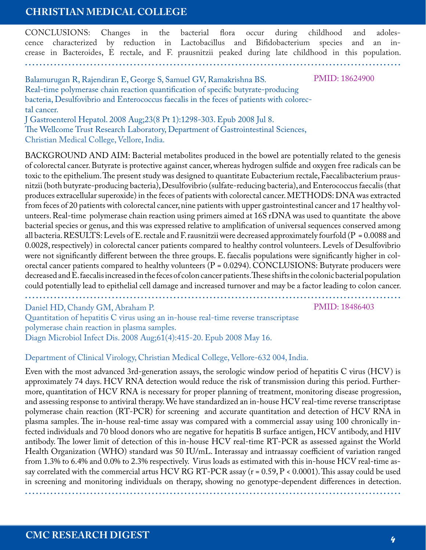CONCLUSIONS: Changes in the bacterial flora occur during childhood and adolescence characterized by reduction in Lactobacillus and Bifidobacterium species and an increase in Bacteroides, E rectale, and F. prausnitzii peaked during late childhood in this population.

**........................................................................................................**

Balamurugan R, Rajendiran E, George S, Samuel GV, Ramakrishna BS. Real-time polymerase chain reaction quantification of specific butyrate-producing bacteria, Desulfovibrio and Enterococcus faecalis in the feces of patients with colorectal cancer.

J Gastroenterol Hepatol. 2008 Aug;23(8 Pt 1):1298-303. Epub 2008 Jul 8. The Wellcome Trust Research Laboratory, Department of Gastrointestinal Sciences, Christian Medical College, Vellore, India.

BACKGROUND AND AIM: Bacterial metabolites produced in the bowel are potentially related to the genesis of colorectal cancer. Butyrate is protective against cancer, whereas hydrogen sulfide and oxygen free radicals can be toxic to the epithelium. The present study was designed to quantitate Eubacterium rectale, Faecalibacterium prausnitzii (both butyrate-producing bacteria), Desulfovibrio (sulfate-reducing bacteria), and Enterococcus faecalis (that produces extracellular superoxide) in the feces of patients with colorectal cancer. METHODS: DNA was extracted from feces of 20 patients with colorectal cancer, nine patients with upper gastrointestinal cancer and 17 healthy volunteers. Real-time polymerase chain reaction using primers aimed at 16S rDNA was used to quantitate the above bacterial species or genus, and this was expressed relative to amplification of universal sequences conserved among all bacteria. RESULTS: Levels of E. rectale and F. rausnitzii were decreased approximately fourfold (P = 0.0088 and 0.0028, respectively) in colorectal cancer patients compared to healthy control volunteers. Levels of Desulfovibrio were not significantly different between the three groups. E. faecalis populations were significantly higher in colorectal cancer patients compared to healthy volunteers  $(P = 0.0294)$ . CONCLUSIONS: Butyrate producers were decreased and E. faecalis increased in the feces of colon cancer patients. These shifts in the colonic bacterial population could potentially lead to epithelial cell damage and increased turnover and may be a factor leading to colon cancer.

**........................................................................................................**

Daniel HD, Chandy GM, Abraham P.

PMID: 18486403

PMID: 18624900

Quantitation of hepatitis C virus using an in-house real-time reverse transcriptase polymerase chain reaction in plasma samples. Diagn Microbiol Infect Dis. 2008 Aug;61(4):415-20. Epub 2008 May 16.

#### Department of Clinical Virology, Christian Medical College, Vellore-632 004, India.

Even with the most advanced 3rd-generation assays, the serologic window period of hepatitis C virus (HCV) is approximately 74 days. HCV RNA detection would reduce the risk of transmission during this period. Furthermore, quantitation of HCV RNA is necessary for proper planning of treatment, monitoring disease progression, and assessing response to antiviral therapy. We have standardized an in-house HCV real-time reverse transcriptase polymerase chain reaction (RT-PCR) for screening and accurate quantitation and detection of HCV RNA in plasma samples. The in-house real-time assay was compared with a commercial assay using 100 chronically infected individuals and 70 blood donors who are negative for hepatitis B surface antigen, HCV antibody, and HIV antibody. The lower limit of detection of this in-house HCV real-time RT-PCR as assessed against the World Health Organization (WHO) standard was 50 IU/mL. Interassay and intraassay coefficient of variation ranged from 1.3% to 6.4% and 0.0% to 2.3% respectively. Virus loads as estimated with this in-house HCV real-time assay correlated with the commercial artus HCV RG RT-PCR assay (r = 0.59, P < 0.0001). This assay could be used in screening and monitoring individuals on therapy, showing no genotype-dependent differences in detection.

**........................................................................................................**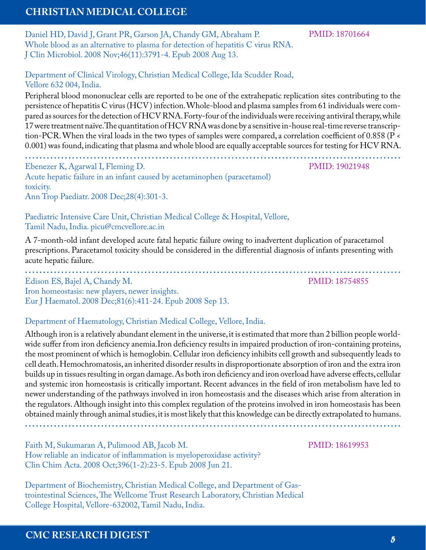Daniel HD, David J, Grant PR, Garson JA, Chandy GM, Abraham P. Whole blood as an alternative to plasma for detection of hepatitis C virus RNA. J Clin Microbiol. 2008 Nov;46(11):3791-4. Epub 2008 Aug 13.

PMID: 18701664

Department of Clinical Virology, Christian Medical College, Ida Scudder Road, Vellore 632 004, India.

Peripheral blood mononuclear cells are reported to be one of the extrahepatic replication sites contributing to the persistence of hepatitis C virus (HCV) infection. Whole-blood and plasma samples from 61 individuals were compared as sources for the detection of HCV RNA. Forty-four of the individuals were receiving antiviral therapy, while 17 were treatment naïve. The quantitation of HCV RNA was done by a sensitive in-house real-time reverse transcription-PCR. When the viral loads in the two types of samples were compared, a correlation coefficient of 0.858 (P < 0.001) was found, indicating that plasma and whole blood are equally acceptable sources for testing for HCV RNA.

**........................................................................................................** Ebenezer K, Agarwal I, Fleming D. Acute hepatic failure in an infant caused by acetaminophen (paracetamol) toxicity. Ann Trop Paediatr. 2008 Dec;28(4):301-3.

PMID: 19021948

PMID: 18754855

Paediatric Intensive Care Unit, Christian Medical College & Hospital, Vellore, Tamil Nadu, India. picu@cmcvellore.ac.in

A 7-month-old infant developed acute fatal hepatic failure owing to inadvertent duplication of paracetamol prescriptions. Paracetamol toxicity should be considered in the differential diagnosis of infants presenting with acute hepatic failure.

**........................................................................................................** Edison ES, Bajel A, Chandy M. Iron homeostasis: new players, newer insights. Eur J Haematol. 2008 Dec;81(6):411-24. Epub 2008 Sep 13.

Department of Haematology, Christian Medical College, Vellore, India.

Although iron is a relatively abundant element in the universe, it is estimated that more than 2 billion people worldwide suffer from iron deficiency anemia.Iron deficiency results in impaired production of iron-containing proteins, the most prominent of which is hemoglobin. Cellular iron deficiency inhibits cell growth and subsequently leads to cell death. Hemochromatosis, an inherited disorder results in disproportionate absorption of iron and the extra iron builds up in tissues resulting in organ damage. As both iron deficiency and iron overload have adverse effects, cellular and systemic iron homeostasis is critically important. Recent advances in the field of iron metabolism have led to newer understanding of the pathways involved in iron homeostasis and the diseases which arise from alteration in the regulators. Although insight into this complex regulation of the proteins involved in iron homeostasis has been obtained mainly through animal studies, it is most likely that this knowledge can be directly extrapolated to humans.

**........................................................................................................**

Faith M, Sukumaran A, Pulimood AB, Jacob M. How reliable an indicator of inflammation is myeloperoxidase activity? Clin Chim Acta. 2008 Oct;396(1-2):23-5. Epub 2008 Jun 21.

Department of Biochemistry, Christian Medical College, and Department of Gastrointestinal Sciences, The Wellcome Trust Research Laboratory, Christian Medical College Hospital, Vellore-632002, Tamil Nadu, India.

#### PMID: 18619953

**CMC RESEARCH DIGEST** *5*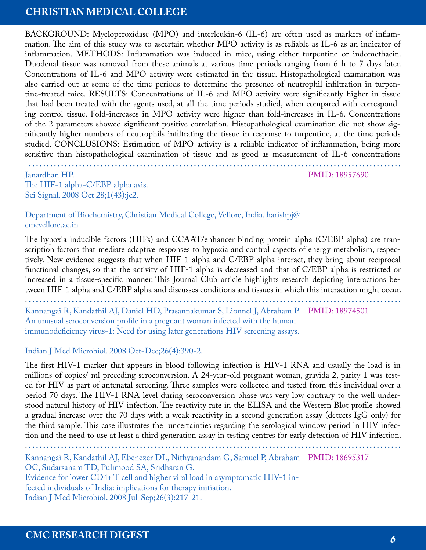BACKGROUND: Myeloperoxidase (MPO) and interleukin-6 (IL-6) are often used as markers of inflammation. The aim of this study was to ascertain whether MPO activity is as reliable as IL-6 as an indicator of inflammation. METHODS: Inflammation was induced in mice, using either turpentine or indomethacin. Duodenal tissue was removed from these animals at various time periods ranging from 6 h to 7 days later. Concentrations of IL-6 and MPO activity were estimated in the tissue. Histopathological examination was also carried out at some of the time periods to determine the presence of neutrophil infiltration in turpentine-treated mice. RESULTS: Concentrations of IL-6 and MPO activity were significantly higher in tissue that had been treated with the agents used, at all the time periods studied, when compared with corresponding control tissue. Fold-increases in MPO activity were higher than fold-increases in IL-6. Concentrations of the 2 parameters showed significant positive correlation. Histopathological examination did not show significantly higher numbers of neutrophils infiltrating the tissue in response to turpentine, at the time periods studied. CONCLUSIONS: Estimation of MPO activity is a reliable indicator of inflammation, being more sensitive than histopathological examination of tissue and as good as measurement of IL-6 concentrations

. **........................................................................................................**

PMID: 18957690

Janardhan HP. The HIF-1 alpha-C/EBP alpha axis. Sci Signal. 2008 Oct 28;1(43):jc2.

Department of Biochemistry, Christian Medical College, Vellore, India. harishpj@ cmcvellore.ac.in

The hypoxia inducible factors (HIFs) and CCAAT/enhancer binding protein alpha (C/EBP alpha) are transcription factors that mediate adaptive responses to hypoxia and control aspects of energy metabolism, respectively. New evidence suggests that when HIF-1 alpha and C/EBP alpha interact, they bring about reciprocal functional changes, so that the activity of HIF-1 alpha is decreased and that of C/EBP alpha is restricted or increased in a tissue-specific manner. This Journal Club article highlights research depicting interactions between HIF-1 alpha and C/EBP alpha and discusses conditions and tissues in which this interaction might occur.

. **........................................................................................................**

Kannangai R, Kandathil AJ, Daniel HD, Prasannakumar S, Lionnel J, Abraham P. PMID: 18974501 An unusual seroconversion profile in a pregnant woman infected with the human immunodeficiency virus-1: Need for using later generations HIV screening assays.

#### Indian J Med Microbiol. 2008 Oct-Dec;26(4):390-2.

The first HIV-1 marker that appears in blood following infection is HIV-1 RNA and usually the load is in millions of copies/ ml preceding seroconversion. A 24-year-old pregnant woman, gravida 2, parity 1 was tested for HIV as part of antenatal screening. Three samples were collected and tested from this individual over a period 70 days. The HIV-1 RNA level during seroconversion phase was very low contrary to the well understood natural history of HIV infection. The reactivity rate in the ELISA and the Western Blot profile showed a gradual increase over the 70 days with a weak reactivity in a second generation assay (detects IgG only) for the third sample. This case illustrates the uncertainties regarding the serological window period in HIV infection and the need to use at least a third generation assay in testing centres for early detection of HIV infection.

. **........................................................................................................** Kannangai R, Kandathil AJ, Ebenezer DL, Nithyanandam G, Samuel P, Abraham PMID: 18695317OC, Sudarsanam TD, Pulimood SA, Sridharan G. Evidence for lower CD4+ T cell and higher viral load in asymptomatic HIV-1 infected individuals of India: implications for therapy initiation. Indian J Med Microbiol. 2008 Jul-Sep;26(3):217-21.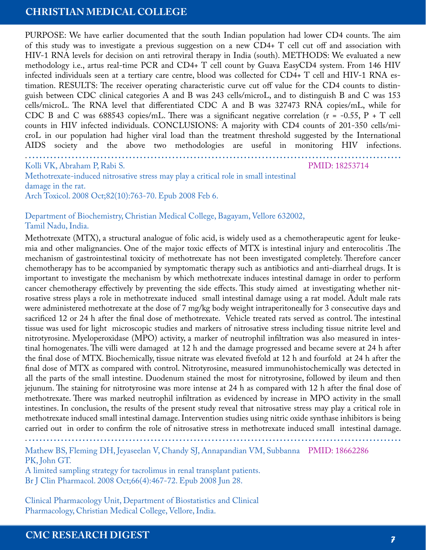PURPOSE: We have earlier documented that the south Indian population had lower CD4 counts. The aim of this study was to investigate a previous suggestion on a new CD4+ T cell cut off and association with HIV-1 RNA levels for decision on anti retroviral therapy in India (south). METHODS: We evaluated a new methodology i.e., artus real-time PCR and CD4+ T cell count by Guava EasyCD4 system. From 146 HIV infected individuals seen at a tertiary care centre, blood was collected for CD4+ T cell and HIV-1 RNA estimation. RESULTS: The receiver operating characteristic curve cut off value for the CD4 counts to distinguish between CDC clinical categories A and B was 243 cells/microL, and to distinguish B and C was 153 cells/microL. The RNA level that differentiated CDC A and B was 327473 RNA copies/mL, while for CDC B and C was 688543 copies/mL. There was a significant negative correlation ( $r = -0.55$ ,  $P + T$  cell counts in HIV infected individuals. CONCLUSIONS: A majority with CD4 counts of 201-350 cells/microL in our population had higher viral load than the treatment threshold suggested by the International AIDS society and the above two methodologies are useful in monitoring HIV infections.

. **........................................................................................................**

PMID: 18253714

Kolli VK, Abraham P, Rabi S. Methotrexate-induced nitrosative stress may play a critical role in small intestinal damage in the rat. Arch Toxicol. 2008 Oct;82(10):763-70. Epub 2008 Feb 6.

#### Department of Biochemistry, Christian Medical College, Bagayam, Vellore 632002, Tamil Nadu, India.

Methotrexate (MTX), a structural analogue of folic acid, is widely used as a chemotherapeutic agent for leukemia and other malignancies. One of the major toxic effects of MTX is intestinal injury and enterocolitis .The mechanism of gastrointestinal toxicity of methotrexate has not been investigated completely. Therefore cancer chemotherapy has to be accompanied by symptomatic therapy such as antibiotics and anti-diarrheal drugs. It is important to investigate the mechanism by which methotrexate induces intestinal damage in order to perform cancer chemotherapy effectively by preventing the side effects. This study aimed at investigating whether nitrosative stress plays a role in methotrexate induced small intestinal damage using a rat model. Adult male rats were administered methotrexate at the dose of 7 mg/kg body weight intraperitoneally for 3 consecutive days and sacrificed 12 or 24 h after the final dose of methotrexate. Vehicle treated rats served as control. The intestinal tissue was used for light microscopic studies and markers of nitrosative stress including tissue nitrite level and nitrotyrosine. Myeloperoxidase (MPO) activity, a marker of neutrophil infiltration was also measured in intestinal homogenates. The villi were damaged at 12 h and the damage progressed and became severe at 24 h after the final dose of MTX. Biochemically, tissue nitrate was elevated fivefold at 12 h and fourfold at 24 h after the final dose of MTX as compared with control. Nitrotyrosine, measured immunohistochemically was detected in all the parts of the small intestine. Duodenum stained the most for nitrotyrosine, followed by ileum and then jejunum. The staining for nitrotyrosine was more intense at 24 h as compared with 12 h after the final dose of methotrexate. There was marked neutrophil infiltration as evidenced by increase in MPO activity in the small intestines. In conclusion, the results of the present study reveal that nitrosative stress may play a critical role in methotrexate induced small intestinal damage. Intervention studies using nitric oxide synthase inhibitors is being carried out in order to confirm the role of nitrosative stress in methotrexate induced small intestinal damage.

. **........................................................................................................**

Mathew BS, Fleming DH, Jeyaseelan V, Chandy SJ, Annapandian VM, Subbanna PMID: 18662286 PK, John GT.

A limited sampling strategy for tacrolimus in renal transplant patients. Br J Clin Pharmacol. 2008 Oct;66(4):467-72. Epub 2008 Jun 28.

Clinical Pharmacology Unit, Department of Biostatistics and Clinical Pharmacology, Christian Medical College, Vellore, India.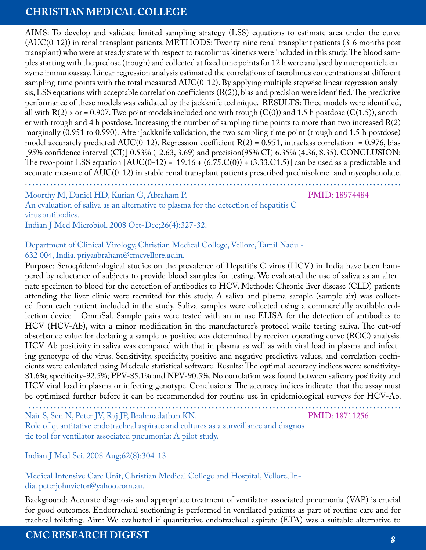AIMS: To develop and validate limited sampling strategy (LSS) equations to estimate area under the curve (AUC(0-12)) in renal transplant patients. METHODS: Twenty-nine renal transplant patients (3-6 months post transplant) who were at steady state with respect to tacrolimus kinetics were included in this study. The blood samples starting with the predose (trough) and collected at fixed time points for 12 h were analysed by microparticle enzyme immunoassay. Linear regression analysis estimated the correlations of tacrolimus concentrations at different sampling time points with the total measured  $AUC(0-12)$ . By applying multiple stepwise linear regression analysis, LSS equations with acceptable correlation coefficients  $(R(2))$ , bias and precision were identified. The predictive performance of these models was validated by the jackknife technique. RESULTS: Three models were identified, all with  $R(2)$  > or = 0.907. Two point models included one with trough  $(C(0))$  and 1.5 h postdose  $(C(1.5))$ , another with trough and 4 h postdose. Increasing the number of sampling time points to more than two increased  $R(2)$ marginally (0.951 to 0.990). After jackknife validation, the two sampling time point (trough and 1.5 h postdose) model accurately predicted AUC(0-12). Regression coefficient  $R(2) = 0.951$ , intraclass correlation = 0.976, bias [95% confidence interval (CI)] 0.53% (-2.63, 3.69) and precision(95% CI) 6.35% (4.36, 8.35). CONCLUSION: The two-point LSS equation  $[AUC(0-12) = 19.16 + (6.75.C(0)) + (3.33.C1.5)]$  can be used as a predictable and accurate measure of AUC(0-12) in stable renal transplant patients prescribed prednisolone and mycophenolate.

. **........................................................................................................**

Moorthy M, Daniel HD, Kurian G, Abraham P.

PMID: 18974484

An evaluation of saliva as an alternative to plasma for the detection of hepatitis C virus antibodies.

Indian J Med Microbiol. 2008 Oct-Dec;26(4):327-32.

#### Department of Clinical Virology, Christian Medical College, Vellore, Tamil Nadu - 632 004, India. priyaabraham@cmcvellore.ac.in.

Purpose: Seroepidemiological studies on the prevalence of Hepatitis C virus (HCV) in India have been hampered by reluctance of subjects to provide blood samples for testing. We evaluated the use of saliva as an alternate specimen to blood for the detection of antibodies to HCV. Methods: Chronic liver disease (CLD) patients attending the liver clinic were recruited for this study. A saliva and plasma sample (sample air) was collected from each patient included in the study. Saliva samples were collected using a commercially available collection device - OmniSal. Sample pairs were tested with an in-use ELISA for the detection of antibodies to HCV (HCV-Ab), with a minor modification in the manufacturer's protocol while testing saliva. The cut-off absorbance value for declaring a sample as positive was determined by receiver operating curve (ROC) analysis. HCV-Ab positivity in saliva was compared with that in plasma as well as with viral load in plasma and infecting genotype of the virus. Sensitivity, specificity, positive and negative predictive values, and correlation coefficients were calculated using Medcalc statistical software. Results: The optimal accuracy indices were: sensitivity-81.6%; specificity-92.5%; PPV-85.1% and NPV-90.5%. No correlation was found between salivary positivity and HCV viral load in plasma or infecting genotype. Conclusions: The accuracy indices indicate that the assay must be optimized further before it can be recommended for routine use in epidemiological surveys for HCV-Ab.

. **........................................................................................................**

Nair S, Sen N, Peter JV, Raj JP, Brahmadathan KN.

PMID: 18711256

Role of quantitative endotracheal aspirate and cultures as a surveillance and diagnostic tool for ventilator associated pneumonia: A pilot study.

Indian J Med Sci. 2008 Aug;62(8):304-13.

Medical Intensive Care Unit, Christian Medical College and Hospital, Vellore, India. peterjohnvictor@yahoo.com.au.

Background: Accurate diagnosis and appropriate treatment of ventilator associated pneumonia (VAP) is crucial for good outcomes. Endotracheal suctioning is performed in ventilated patients as part of routine care and for tracheal toileting. Aim: We evaluated if quantitative endotracheal aspirate (ETA) was a suitable alternative to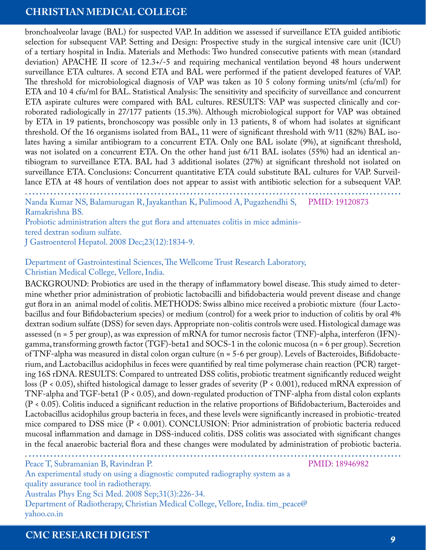bronchoalveolar lavage (BAL) for suspected VAP. In addition we assessed if surveillance ETA guided antibiotic selection for subsequent VAP. Setting and Design: Prospective study in the surgical intensive care unit (ICU) of a tertiary hospital in India. Materials and Methods: Two hundred consecutive patients with mean (standard deviation) APACHE II score of 12.3+/-5 and requiring mechanical ventilation beyond 48 hours underwent surveillance ETA cultures. A second ETA and BAL were performed if the patient developed features of VAP. The threshold for microbiological diagnosis of VAP was taken as 10 5 colony forming units/ml (cfu/ml) for ETA and 10 4 cfu/ml for BAL. Statistical Analysis: The sensitivity and specificity of surveillance and concurrent ETA aspirate cultures were compared with BAL cultures. RESULTS: VAP was suspected clinically and corroborated radiologically in 27/177 patients (15.3%). Although microbiological support for VAP was obtained by ETA in 19 patients, bronchoscopy was possible only in 13 patients, 8 of whom had isolates at significant threshold. Of the 16 organisms isolated from BAL, 11 were of significant threshold with 9/11 (82%) BAL isolates having a similar antibiogram to a concurrent ETA. Only one BAL isolate (9%), at significant threshold, was not isolated on a concurrent ETA. On the other hand just 6/11 BAL isolates (55%) had an identical antibiogram to surveillance ETA. BAL had 3 additional isolates (27%) at significant threshold not isolated on surveillance ETA. Conclusions: Concurrent quantitative ETA could substitute BAL cultures for VAP. Surveillance ETA at 48 hours of ventilation does not appear to assist with antibiotic selection for a subsequent VAP.

. **........................................................................................................** Nanda Kumar NS, Balamurugan R, Jayakanthan K, Pulimood A, Pugazhendhi S, PMID: 19120873 Ramakrishna BS.

Probiotic administration alters the gut flora and attenuates colitis in mice administered dextran sodium sulfate. J Gastroenterol Hepatol. 2008 Dec;23(12):1834-9.

#### Department of Gastrointestinal Sciences, The Wellcome Trust Research Laboratory, Christian Medical College, Vellore, India.

BACKGROUND: Probiotics are used in the therapy of inflammatory bowel disease. This study aimed to determine whether prior administration of probiotic lactobacilli and bifidobacteria would prevent disease and change gut flora in an animal model of colitis. METHODS: Swiss albino mice received a probiotic mixture (four Lactobacillus and four Bifidobacterium species) or medium (control) for a week prior to induction of colitis by oral 4% dextran sodium sulfate (DSS) for seven days. Appropriate non-colitis controls were used. Histological damage was assessed (n = 5 per group), as was expression of mRNA for tumor necrosis factor (TNF)-alpha, interferon (IFN) gamma, transforming growth factor (TGF)-beta1 and SOCS-1 in the colonic mucosa (n = 6 per group). Secretion of TNF-alpha was measured in distal colon organ culture (n = 5-6 per group). Levels of Bacteroides, Bifidobacterium, and Lactobacillus acidophilus in feces were quantified by real time polymerase chain reaction (PCR) targeting 16S rDNA. RESULTS: Compared to untreated DSS colitis, probiotic treatment significantly reduced weight loss (P < 0.05), shifted histological damage to lesser grades of severity (P < 0.001), reduced mRNA expression of TNF-alpha and TGF-beta1 (P < 0.05), and down-regulated production of TNF-alpha from distal colon explants (P < 0.05). Colitis induced a significant reduction in the relative proportions of Bifidobacterium, Bacteroides and Lactobacillus acidophilus group bacteria in feces, and these levels were significantly increased in probiotic-treated mice compared to DSS mice (P < 0.001). CONCLUSION: Prior administration of probiotic bacteria reduced mucosal inflammation and damage in DSS-induced colitis. DSS colitis was associated with significant changes in the fecal anaerobic bacterial flora and these changes were modulated by administration of probiotic bacteria.

. **........................................................................................................**

Peace T, Subramanian B, Ravindran P.

PMID: 18946982

An experimental study on using a diagnostic computed radiography system as a quality assurance tool in radiotherapy. Australas Phys Eng Sci Med. 2008 Sep;31(3):226-34. Department of Radiotherapy, Christian Medical College, Vellore, India. tim\_peace@ yahoo.co.in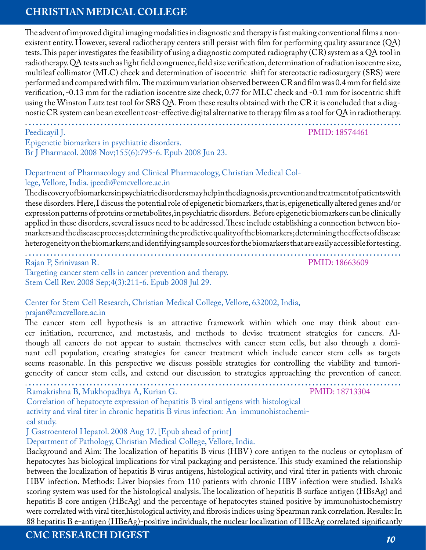The advent of improved digital imaging modalities in diagnostic and therapy is fast making conventional films a nonexistent entity. However, several radiotherapy centers still persist with film for performing quality assurance (QA) tests. This paper investigates the feasibility of using a diagnostic computed radiography (CR) system as a QA tool in radiotherapy. QA tests such as light field congruence, field size verification, determination of radiation isocentre size, multileaf collimator (MLC) check and determination of isocentric shift for stereotactic radiosurgery (SRS) were performed and compared with film. The maximum variation observed between CR and film was 0.4 mm for field size verification, -0.13 mm for the radiation isocentre size check, 0.77 for MLC check and -0.1 mm for isocentric shift using the Winston Lutz test tool for SRS QA. From these results obtained with the CR it is concluded that a diagnostic CR system can be an excellent cost-effective digital alternative to therapy film as a tool for QA in radiotherapy.

. **........................................................................................................**

#### Peedicayil J.

PMID: 18574461

Epigenetic biomarkers in psychiatric disorders. Br J Pharmacol. 2008 Nov;155(6):795-6. Epub 2008 Jun 23.

#### Department of Pharmacology and Clinical Pharmacology, Christian Medical College, Vellore, India. jpeedi@cmcvellore.ac.in

The discovery of biomarkers in psychiatric disorders may help in the diagnosis, prevention and treatment of patients with these disorders. Here, I discuss the potential role of epigenetic biomarkers, that is, epigenetically altered genes and/or expression patterns of proteins or metabolites, in psychiatric disorders. Before epigenetic biomarkers can be clinically applied in these disorders, several issues need to be addressed. These include establishing a connection between biomarkers and the disease process; determining the predictive quality of the biomarkers; determining the effects of disease heterogeneity on the biomarkers; and identifying sample sources for the biomarkers that are easily accessible for testing.

. **........................................................................................................** Rajan P, Srinivasan R.

PMID: 18663609

Targeting cancer stem cells in cancer prevention and therapy. Stem Cell Rev. 2008 Sep;4(3):211-6. Epub 2008 Jul 29.

#### Center for Stem Cell Research, Christian Medical College, Vellore, 632002, India, prajan@cmcvellore.ac.in

The cancer stem cell hypothesis is an attractive framework within which one may think about cancer initiation, recurrence, and metastasis, and methods to devise treatment strategies for cancers. Although all cancers do not appear to sustain themselves with cancer stem cells, but also through a dominant cell population, creating strategies for cancer treatment which include cancer stem cells as targets seems reasonable. In this perspective we discuss possible strategies for controlling the viability and tumorigenecity of cancer stem cells, and extend our discussion to strategies approaching the prevention of cancer.

. **........................................................................................................** Ramakrishna B, Mukhopadhya A, Kurian G.

PMID: 18713304

Correlation of hepatocyte expression of hepatitis B viral antigens with histological activity and viral titer in chronic hepatitis B virus infection: An immunohistochemical study.

J Gastroenterol Hepatol. 2008 Aug 17. [Epub ahead of print]

Department of Pathology, Christian Medical College, Vellore, India.

Background and Aim: The localization of hepatitis B virus (HBV) core antigen to the nucleus or cytoplasm of hepatocytes has biological implications for viral packaging and persistence. This study examined the relationship between the localization of hepatitis B virus antigens, histological activity, and viral titer in patients with chronic HBV infection. Methods: Liver biopsies from 110 patients with chronic HBV infection were studied. Ishak's scoring system was used for the histological analysis. The localization of hepatitis B surface antigen (HBsAg) and hepatitis B core antigen (HBcAg) and the percentage of hepatocytes stained positive by immunohistochemistry were correlated with viral titer,histological activity, and fibrosis indices using Spearman rank correlation. Results: In 88 hepatitis B e-antigen (HBeAg)-positive individuals, the nuclear localization of HBcAg correlated significantly

#### **CMC RESEARCH DIGEST** *10*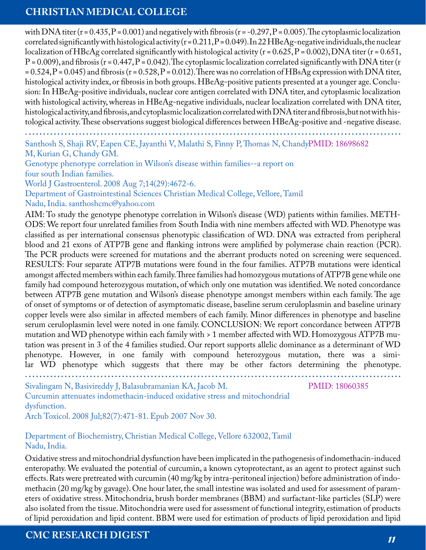with DNA titer ( $r = 0.435$ ,  $P = 0.001$ ) and negatively with fibrosis ( $r = -0.297$ ,  $P = 0.005$ ). The cytoplasmic localization correlated significantly with histological activity ( $r = 0.211$ ,  $P = 0.049$ ). In 22 HBeAg-negative individuals, the nuclear localization of HBcAg correlated significantly with histological activity ( $r = 0.625$ ,  $P = 0.002$ ), DNA titer ( $r = 0.651$ ,  $P = 0.009$ ), and fibrosis (r = 0.447, P = 0.042). The cytoplasmic localization correlated significantly with DNA titer (r  $= 0.524$ , P = 0.045) and fibrosis (r = 0.528, P = 0.012). There was no correlation of HBsAg expression with DNA titer, histological activity index, or fibrosis in both groups. HBeAg-positive patients presented at a younger age. Conclusion: In HBeAg-positive individuals, nuclear core antigen correlated with DNA titer, and cytoplasmic localization with histological activity, whereas in HBeAg-negative individuals, nuclear localization correlated with DNA titer, histological activity, and fibrosis, and cytoplasmic localization correlated with DNA titer and fibrosis, but not with histological activity. These observations suggest biological differences between HBeAg-positive and -negative disease.

. **........................................................................................................**

Santhosh S, Shaji RV, Eapen CE, Jayanthi V, Malathi S, Finny P, Thomas N, ChandyPMID: 18698682 M, Kurian G, Chandy GM.

Genotype phenotype correlation in Wilson's disease within families--a report on four south Indian families.

World J Gastroenterol. 2008 Aug 7;14(29):4672-6.

Department of Gastrointestinal Sciences Christian Medical College, Vellore, Tamil Nadu, India. santhoshcmc@yahoo.com

AIM: To study the genotype phenotype correlation in Wilson's disease (WD) patients within families. METH-ODS: We report four unrelated families from South India with nine members affected with WD. Phenotype was classified as per international consensus phenotypic classification of WD. DNA was extracted from peripheral blood and 21 exons of ATP7B gene and flanking introns were amplified by polymerase chain reaction (PCR). The PCR products were screened for mutations and the aberrant products noted on screening were sequenced. RESULTS: Four separate ATP7B mutations were found in the four families. ATP7B mutations were identical amongst affected members within each family. Three families had homozygous mutations of ATP7B gene while one family had compound heterozygous mutation, of which only one mutation was identified. We noted concordance between ATP7B gene mutation and Wilson's disease phenotype amongst members within each family. The age of onset of symptoms or of detection of asymptomatic disease, baseline serum ceruloplasmin and baseline urinary copper levels were also similar in affected members of each family. Minor differences in phenotype and baseline serum ceruloplasmin level were noted in one family. CONCLUSION: We report concordance between ATP7B mutation and WD phenotype within each family with > 1 member affected with WD. Homozygous ATP7B mutation was present in 3 of the 4 families studied. Our report supports allelic dominance as a determinant of WD phenotype. However, in one family with compound heterozygous mutation, there was a similar WD phenotype which suggests that there may be other factors determining the phenotype. . **........................................................................................................**

Sivalingam N, Basivireddy J, Balasubramanian KA, Jacob M.

PMID: 18060385

Curcumin attenuates indomethacin-induced oxidative stress and mitochondrial dysfunction.

Arch Toxicol. 2008 Jul;82(7):471-81. Epub 2007 Nov 30.

#### Department of Biochemistry, Christian Medical College, Vellore 632002, Tamil Nadu, India.

Oxidative stress and mitochondrial dysfunction have been implicated in the pathogenesis of indomethacin-induced enteropathy. We evaluated the potential of curcumin, a known cytoprotectant, as an agent to protect against such effects. Rats were pretreated with curcumin (40 mg/kg by intra-peritoneal injection) before administration of indomethacin (20 mg/kg by gavage). One hour later, the small intestine was isolated and used for assessment of parameters of oxidative stress. Mitochondria, brush border membranes (BBM) and surfactant-like particles (SLP) were also isolated from the tissue. Mitochondria were used for assessment of functional integrity, estimation of products of lipid peroxidation and lipid content. BBM were used for estimation of products of lipid peroxidation and lipid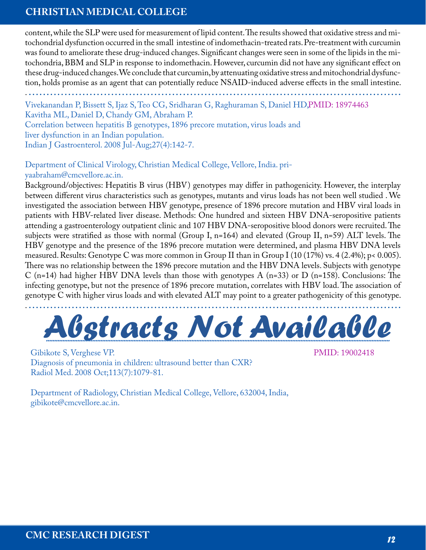content, while the SLP were used for measurement of lipid content. The results showed that oxidative stress and mitochondrial dysfunction occurred in the small intestine of indomethacin-treated rats. Pre-treatment with curcumin was found to ameliorate these drug-induced changes. Significant changes were seen in some of the lipids in the mitochondria, BBM and SLP in response to indomethacin. However, curcumin did not have any significant effect on these drug-induced changes. We conclude that curcumin, by attenuating oxidative stress and mitochondrial dysfunction, holds promise as an agent that can potentially reduce NSAID-induced adverse effects in the small intestine.

. **........................................................................................................** Vivekanandan P, Bissett S, Ijaz S, Teo CG, Sridharan G, Raghuraman S, Daniel HD, PMID: 18974463 Kavitha ML, Daniel D, Chandy GM, Abraham P. Correlation between hepatitis B genotypes, 1896 precore mutation, virus loads and liver dysfunction in an Indian population. Indian J Gastroenterol. 2008 Jul-Aug;27(4):142-7.

#### Department of Clinical Virology, Christian Medical College, Vellore, India. priyaabraham@cmcvellore.ac.in.

Background/objectives: Hepatitis B virus (HBV) genotypes may differ in pathogenicity. However, the interplay between different virus characteristics such as genotypes, mutants and virus loads has not been well studied . We investigated the association between HBV genotype, presence of 1896 precore mutation and HBV viral loads in patients with HBV-related liver disease. Methods: One hundred and sixteen HBV DNA-seropositive patients attending a gastroenterology outpatient clinic and 107 HBV DNA-seropositive blood donors were recruited. The subjects were stratified as those with normal (Group I, n=164) and elevated (Group II, n=59) ALT levels. The HBV genotype and the presence of the 1896 precore mutation were determined, and plasma HBV DNA levels measured. Results: Genotype C was more common in Group II than in Group I (10 (17%) vs. 4 (2.4%); p< 0.005). There was no relationship between the 1896 precore mutation and the HBV DNA levels. Subjects with genotype C (n=14) had higher HBV DNA levels than those with genotypes A (n=33) or D (n=158). Conclusions: The infecting genotype, but not the presence of 1896 precore mutation, correlates with HBV load. The association of genotype C with higher virus loads and with elevated ALT may point to a greater pathogenicity of this genotype.



Gibikote S, Verghese VP. Diagnosis of pneumonia in children: ultrasound better than CXR? Radiol Med. 2008 Oct;113(7):1079-81.

PMID: 19002418

Department of Radiology, Christian Medical College, Vellore, 632004, India, gibikote@cmcvellore.ac.in.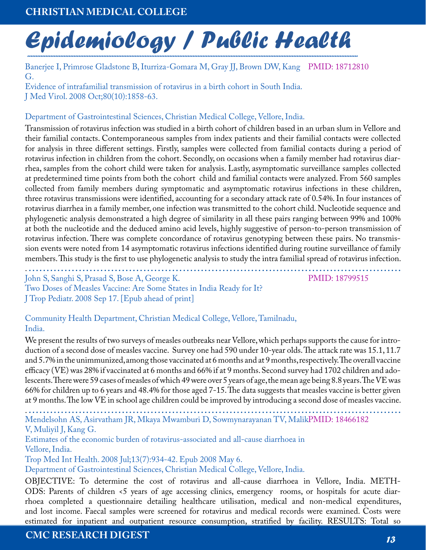# Epidemiology / Public Health

Banerjee I, Primrose Gladstone B, Iturriza-Gomara M, Gray JJ, Brown DW, Kang PMID: 18712810 G. Evidence of intrafamilial transmission of rotavirus in a birth cohort in South India. J Med Virol. 2008 Oct;80(10):1858-63.

#### Department of Gastrointestinal Sciences, Christian Medical College, Vellore, India.

Transmission of rotavirus infection was studied in a birth cohort of children based in an urban slum in Vellore and their familial contacts. Contemporaneous samples from index patients and their familial contacts were collected for analysis in three different settings. Firstly, samples were collected from familial contacts during a period of rotavirus infection in children from the cohort. Secondly, on occasions when a family member had rotavirus diarrhea, samples from the cohort child were taken for analysis. Lastly, asymptomatic surveillance samples collected at predetermined time points from both the cohort child and familial contacts were analyzed. From 560 samples collected from family members during symptomatic and asymptomatic rotavirus infections in these children, three rotavirus transmissions were identified, accounting for a secondary attack rate of 0.54%. In four instances of rotavirus diarrhea in a family member, one infection was transmitted to the cohort child. Nucleotide sequence and phylogenetic analysis demonstrated a high degree of similarity in all these pairs ranging between 99% and 100% at both the nucleotide and the deduced amino acid levels, highly suggestive of person-to-person transmission of rotavirus infection. There was complete concordance of rotavirus genotyping between these pairs. No transmission events were noted from 14 asymptomatic rotavirus infections identified during routine surveillance of family members. This study is the first to use phylogenetic analysis to study the intra familial spread of rotavirus infection.

. **........................................................................................................** John S, Sanghi S, Prasad S, Bose A, George K. Two Doses of Measles Vaccine: Are Some States in India Ready for It? J Trop Pediatr. 2008 Sep 17. [Epub ahead of print]

PMID: 18799515

Community Health Department, Christian Medical College, Vellore, Tamilnadu, India.

We present the results of two surveys of measles outbreaks near Vellore, which perhaps supports the cause for introduction of a second dose of measles vaccine. Survey one had 590 under 10-year olds. The attack rate was 15.1, 11.7 and 5.7% in the unimmunized, among those vaccinated at 6 months and at 9 months, respectively. The overall vaccine efficacy (VE) was 28% if vaccinated at 6 months and 66% if at 9 months. Second survey had 1702 children and adolescents. There were 59 cases of measles of which 49 were over 5 years of age, the mean age being 8.8 years. The VE was 66% for children up to 6 years and 48.4% for those aged 7-15. The data suggests that measles vaccine is better given at 9 months. The low VE in school age children could be improved by introducing a second dose of measles vaccine.

. **........................................................................................................** Mendelsohn AS, Asirvatham JR, Mkaya Mwamburi D, Sowmynarayanan TV, MalikPMID: 18466182 V, Muliyil J, Kang G.

Estimates of the economic burden of rotavirus-associated and all-cause diarrhoea in Vellore, India.

Trop Med Int Health. 2008 Jul;13(7):934-42. Epub 2008 May 6.

Department of Gastrointestinal Sciences, Christian Medical College, Vellore, India.

OBJECTIVE: To determine the cost of rotavirus and all-cause diarrhoea in Vellore, India. METH-ODS: Parents of children <5 years of age accessing clinics, emergency rooms, or hospitals for acute diarrhoea completed a questionnaire detailing healthcare utilisation, medical and non-medical expenditures, and lost income. Faecal samples were screened for rotavirus and medical records were examined. Costs were estimated for inpatient and outpatient resource consumption, stratified by facility. RESULTS: Total so

#### **CMC RESEARCH DIGEST** *13*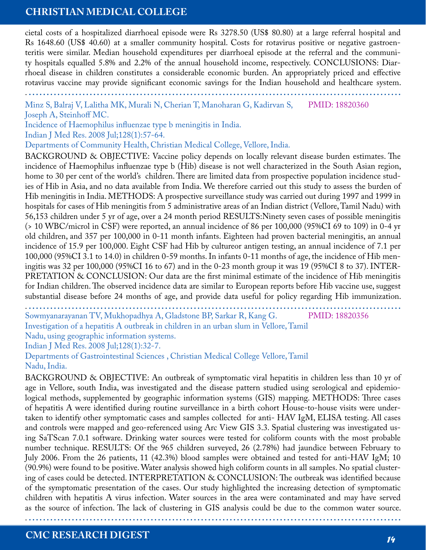cietal costs of a hospitalized diarrhoeal episode were Rs 3278.50 (US\$ 80.80) at a large referral hospital and Rs 1648.60 (US\$ 40.60) at a smaller community hospital. Costs for rotavirus positive or negative gastroenteritis were similar. Median household expenditures per diarrhoeal episode at the referral and the community hospitals equalled 5.8% and 2.2% of the annual household income, respectively. CONCLUSIONS: Diarrhoeal disease in children constitutes a considerable economic burden. An appropriately priced and effective rotavirus vaccine may provide significant economic savings for the Indian household and healthcare system.

. **........................................................................................................**

Minz S, Balraj V, Lalitha MK, Murali N, Cherian T, Manoharan G, Kadirvan S, Joseph A, Steinhoff MC. PMID: 18820360

Incidence of Haemophilus influenzae type b meningitis in India.

Indian J Med Res. 2008 Jul;128(1):57-64.

Departments of Community Health, Christian Medical College, Vellore, India.

BACKGROUND & OBJECTIVE: Vaccine policy depends on locally relevant disease burden estimates. The incidence of Haemophilus influenzae type b (Hib) disease is not well characterized in the South Asian region, home to 30 per cent of the world's children. There are limited data from prospective population incidence studies of Hib in Asia, and no data available from India. We therefore carried out this study to assess the burden of Hib meningitis in India. METHODS: A prospective surveillance study was carried out during 1997 and 1999 in hospitals for cases of Hib meningitis from 5 administrative areas of an Indian district (Vellore, Tamil Nadu) with 56,153 children under 5 yr of age, over a 24 month period RESULTS:Ninety seven cases of possible meningitis (> 10 WBC/microl in CSF) were reported, an annual incidence of 86 per 100,000 (95%CI 69 to 109) in 0-4 yr old children, and 357 per 100,000 in 0-11 month infants. Eighteen had proven bacterial meningitis, an annual incidence of 15.9 per 100,000. Eight CSF had Hib by cultureor antigen testing, an annual incidence of 7.1 per 100,000 (95%CI 3.1 to 14.0) in children 0-59 months. In infants 0-11 months of age, the incidence of Hib meningitis was 32 per 100,000 (95%CI 16 to 67) and in the 0-23 month group it was 19 (95%CI 8 to 37). INTER-PRETATION & CONCLUSION: Our data are the first minimal estimate of the incidence of Hib meningitis for Indian children. The observed incidence data are similar to European reports before Hib vaccine use, suggest substantial disease before 24 months of age, and provide data useful for policy regarding Hib immunization.

. **........................................................................................................** Sowmyanarayanan TV, Mukhopadhya A, Gladstone BP, Sarkar R, Kang G. Investigation of a hepatitis A outbreak in children in an urban slum in Vellore, Tamil Nadu, using geographic information systems. PMID: 18820356

Indian J Med Res. 2008 Jul;128(1):32-7.

Departments of Gastrointestinal Sciences , Christian Medical College Vellore, Tamil Nadu, India.

BACKGROUND & OBJECTIVE: An outbreak of symptomatic viral hepatitis in children less than 10 yr of age in Vellore, south India, was investigated and the disease pattern studied using serological and epidemiological methods, supplemented by geographic information systems (GIS) mapping. METHODS: Three cases of hepatitis A were identified during routine surveillance in a birth cohort House-to-house visits were undertaken to identify other symptomatic cases and samples collected for anti- HAV IgM, ELISA testing. All cases and controls were mapped and geo-referenced using Arc View GIS 3.3. Spatial clustering was investigated using SaTScan 7.0.1 software. Drinking water sources were tested for coliform counts with the most probable number technique. RESULTS: Of the 965 children surveyed, 26 (2.78%) had jaundice between February to July 2006. From the 26 patients, 11 (42.3%) blood samples were obtained and tested for anti-HAV IgM; 10 (90.9%) were found to be positive. Water analysis showed high coliform counts in all samples. No spatial clustering of cases could be detected. INTERPRETATION & CONCLUSION: The outbreak was identified because of the symptomatic presentation of the cases. Our study highlighted the increasing detection of symptomatic children with hepatitis A virus infection. Water sources in the area were contaminated and may have served as the source of infection. The lack of clustering in GIS analysis could be due to the common water source.

. **........................................................................................................**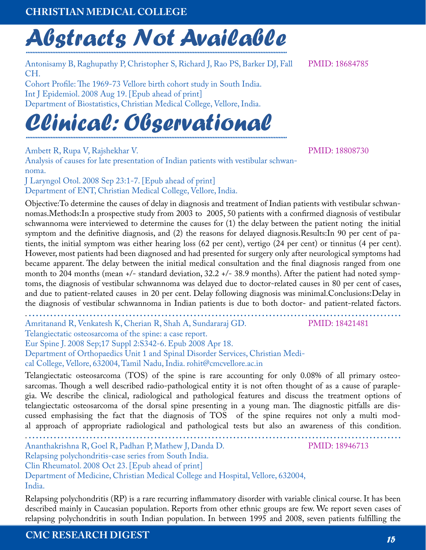# *Abstracts Not Available ..............................................................................................................................................................*

Antonisamy B, Raghupathy P, Christopher S, Richard J, Rao PS, Barker DJ, Fall CH.

Cohort Profile: The 1969-73 Vellore birth cohort study in South India. Int J Epidemiol. 2008 Aug 19. [Epub ahead of print] Department of Biostatistics, Christian Medical College, Vellore, India.

# *Clinical: Observational ..............................................................................................................................................................*

Ambett R, Rupa V, Rajshekhar V.

Analysis of causes for late presentation of Indian patients with vestibular schwannoma.

J Laryngol Otol. 2008 Sep 23:1-7. [Epub ahead of print] Department of ENT, Christian Medical College, Vellore, India.

Objective:To determine the causes of delay in diagnosis and treatment of Indian patients with vestibular schwannomas.Methods:In a prospective study from 2003 to 2005, 50 patients with a confirmed diagnosis of vestibular schwannoma were interviewed to determine the causes for (1) the delay between the patient noting the initial symptom and the definitive diagnosis, and (2) the reasons for delayed diagnosis.Results:In 90 per cent of patients, the initial symptom was either hearing loss (62 per cent), vertigo (24 per cent) or tinnitus (4 per cent). However, most patients had been diagnosed and had presented for surgery only after neurological symptoms had became apparent. The delay between the initial medical consultation and the final diagnosis ranged from one month to 204 months (mean +/- standard deviation, 32.2 +/- 38.9 months). After the patient had noted symptoms, the diagnosis of vestibular schwannoma was delayed due to doctor-related causes in 80 per cent of cases, and due to patient-related causes in 20 per cent. Delay following diagnosis was minimal.Conclusions:Delay in the diagnosis of vestibular schwannoma in Indian patients is due to both doctor- and patient-related factors.

. **........................................................................................................** Amritanand R, Venkatesh K, Cherian R, Shah A, Sundararaj GD. Telangiectatic osteosarcoma of the spine: a case report. Eur Spine J. 2008 Sep;17 Suppl 2:S342-6. Epub 2008 Apr 18. Department of Orthopaedics Unit 1 and Spinal Disorder Services, Christian Medical College, Vellore, 632004, Tamil Nadu, India. rohit@cmcvellore.ac.in PMID: 18421481 Telangiectatic osteosarcoma (TOS) of the spine is rare accounting for only 0.08% of all primary osteo-

sarcomas. Though a well described radio-pathological entity it is not often thought of as a cause of paraplegia. We describe the clinical, radiological and pathological features and discuss the treatment options of telangiectatic osteosarcoma of the dorsal spine presenting in a young man. The diagnostic pitfalls are discussed emphasising the fact that the diagnosis of TOS of the spine requires not only a multi modal approach of appropriate radiological and pathological tests but also an awareness of this condition.

. **........................................................................................................**

Ananthakrishna R, Goel R, Padhan P, Mathew J, Danda D. Relapsing polychondritis-case series from South India.

Clin Rheumatol. 2008 Oct 23. [Epub ahead of print]

Department of Medicine, Christian Medical College and Hospital, Vellore, 632004, India.

Relapsing polychondritis (RP) is a rare recurring inflammatory disorder with variable clinical course. It has been described mainly in Caucasian population. Reports from other ethnic groups are few. We report seven cases of relapsing polychondritis in south Indian population. In between 1995 and 2008, seven patients fulfilling the

**CMC RESEARCH DIGEST** *15*

PMID: 18808730

PMID: 18684785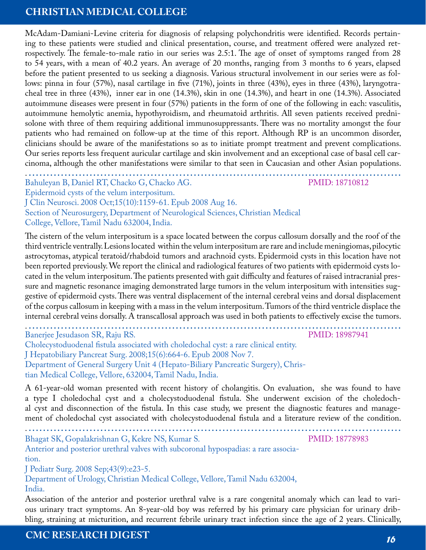McAdam-Damiani-Levine criteria for diagnosis of relapsing polychondritis were identified. Records pertaining to these patients were studied and clinical presentation, course, and treatment offered were analyzed retrospectively. The female-to-male ratio in our series was 2.5:1. The age of onset of symptoms ranged from 28 to 54 years, with a mean of 40.2 years. An average of 20 months, ranging from 3 months to 6 years, elapsed before the patient presented to us seeking a diagnosis. Various structural involvement in our series were as follows: pinna in four (57%), nasal cartilage in five (71%), joints in three (43%), eyes in three (43%), laryngotracheal tree in three (43%), inner ear in one (14.3%), skin in one (14.3%), and heart in one (14.3%). Associated autoimmune diseases were present in four (57%) patients in the form of one of the following in each: vasculitis, autoimmune hemolytic anemia, hypothyroidism, and rheumatoid arthritis. All seven patients received prednisolone with three of them requiring additional immunosuppressants. There was no mortality amongst the four patients who had remained on follow-up at the time of this report. Although RP is an uncommon disorder, clinicians should be aware of the manifestations so as to initiate prompt treatment and prevent complications. Our series reports less frequent auricular cartilage and skin involvement and an exceptional case of basal cell carcinoma, although the other manifestations were similar to that seen in Caucasian and other Asian populations.

. **........................................................................................................** Bahuleyan B, Daniel RT, Chacko G, Chacko AG. Epidermoid cysts of the velum interpositum. J Clin Neurosci. 2008 Oct;15(10):1159-61. Epub 2008 Aug 16. Section of Neurosurgery, Department of Neurological Sciences, Christian Medical College, Vellore, Tamil Nadu 632004, India. PMID: 18710812

The cistern of the velum interpositum is a space located between the corpus callosum dorsally and the roof of the third ventricle ventrally. Lesions located within the velum interpositum are rare and include meningiomas, pilocytic astrocytomas, atypical teratoid/rhabdoid tumors and arachnoid cysts. Epidermoid cysts in this location have not been reported previously. We report the clinical and radiological features of two patients with epidermoid cysts located in the velum interpositum. The patients presented with gait difficulty and features of raised intracranial pressure and magnetic resonance imaging demonstrated large tumors in the velum interpositum with intensities suggestive of epidermoid cysts. There was ventral displacement of the internal cerebral veins and dorsal displacement of the corpus callosum in keeping with a mass in the velum interpositum. Tumors of the third ventricle displace the internal cerebral veins dorsally. A transcallosal approach was used in both patients to effectively excise the tumors.

Banerjee Jesudason SR, Raju RS.

. **........................................................................................................** PMID: 18987941

Cholecystoduodenal fistula associated with choledochal cyst: a rare clinical entity. J Hepatobiliary Pancreat Surg. 2008;15(6):664-6. Epub 2008 Nov 7. Department of General Surgery Unit 4 (Hepato-Biliary Pancreatic Surgery), Christian Medical College, Vellore, 632004, Tamil Nadu, India.

A 61-year-old woman presented with recent history of cholangitis. On evaluation, she was found to have a type I choledochal cyst and a cholecystoduodenal fistula. She underwent excision of the choledochal cyst and disconnection of the fistula. In this case study, we present the diagnostic features and management of choledochal cyst associated with cholecystoduodenal fistula and a literature review of the condition.

. **........................................................................................................**

Bhagat SK, Gopalakrishnan G, Kekre NS, Kumar S.

PMID: 18778983

Anterior and posterior urethral valves with subcoronal hypospadias: a rare association.

J Pediatr Surg. 2008 Sep;43(9):e23-5.

Department of Urology, Christian Medical College, Vellore, Tamil Nadu 632004, India.

Association of the anterior and posterior urethral valve is a rare congenital anomaly which can lead to various urinary tract symptoms. An 8-year-old boy was referred by his primary care physician for urinary dribbling, straining at micturition, and recurrent febrile urinary tract infection since the age of 2 years. Clinically,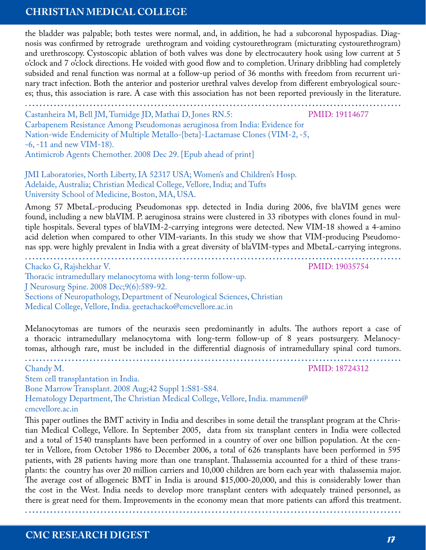the bladder was palpable; both testes were normal, and, in addition, he had a subcoronal hypospadias. Diagnosis was confirmed by retrograde urethrogram and voiding cystourethrogram (micturating cystourethrogram) and urethroscopy. Cystoscopic ablation of both valves was done by electrocautery hook using low current at 5 o'clock and 7 o'clock directions. He voided with good flow and to completion. Urinary dribbling had completely subsided and renal function was normal at a follow-up period of 36 months with freedom from recurrent urinary tract infection. Both the anterior and posterior urethral valves develop from different embryological sources; thus, this association is rare. A case with this association has not been reported previously in the literature.

. **........................................................................................................** Castanheira M, Bell JM, Turnidge JD, Mathai D, Jones RN.5: Carbapenem Resistance Among Pseudomonas aeruginosa from India: Evidence for Nation-wide Endemicity of Multiple Metallo-{beta}-Lactamase Clones (VIM-2, -5, -6, -11 and new VIM-18). Antimicrob Agents Chemother. 2008 Dec 29. [Epub ahead of print] PMID: 19114677

JMI Laboratories, North Liberty, IA 52317 USA; Women's and Children's Hosp. Adelaide, Australia; Christian Medical College, Vellore, India; and Tufts University School of Medicine, Boston, MA, USA.

Among 57 MbetaL-producing Pseudomonas spp. detected in India during 2006, five blaVIM genes were found, including a new blaVIM. P. aeruginosa strains were clustered in 33 ribotypes with clones found in multiple hospitals. Several types of blaVIM-2-carrying integrons were detected. New VIM-18 showed a 4-amino acid deletion when compared to other VIM-variants. In this study we show that VIM-producing Pseudomonas spp. were highly prevalent in India with a great diversity of blaVIM-types and MbetaL-carrying integrons.

. **........................................................................................................** Chacko G, Rajshekhar V. Thoracic intramedullary melanocytoma with long-term follow-up. J Neurosurg Spine. 2008 Dec;9(6):589-92. Sections of Neuropathology, Department of Neurological Sciences, Christian Medical College, Vellore, India. geetachacko@cmcvellore.ac.in

Melanocytomas are tumors of the neuraxis seen predominantly in adults. The authors report a case of a thoracic intramedullary melanocytoma with long-term follow-up of 8 years postsurgery. Melanocytomas, although rare, must be included in the differential diagnosis of intramedullary spinal cord tumors.

. **........................................................................................................**

Chandy M.

Stem cell transplantation in India.

Bone Marrow Transplant. 2008 Aug;42 Suppl 1:S81-S84.

Hematology Department, The Christian Medical College, Vellore, India. mammen@ cmcvellore.ac.in

This paper outlines the BMT activity in India and describes in some detail the transplant program at the Christian Medical College, Vellore. In September 2005, data from six transplant centers in India were collected and a total of 1540 transplants have been performed in a country of over one billion population. At the center in Vellore, from October 1986 to December 2006, a total of 626 transplants have been performed in 595 patients, with 28 patients having more than one transplant. Thalassemia accounted for a third of these transplants: the country has over 20 million carriers and 10,000 children are born each year with thalassemia major. The average cost of allogeneic BMT in India is around \$15,000-20,000, and this is considerably lower than the cost in the West. India needs to develop more transplant centers with adequately trained personnel, as there is great need for them. Improvements in the economy mean that more patients can afford this treatment.

. **........................................................................................................**

**CMC RESEARCH DIGEST** *17*

PMID: 18724312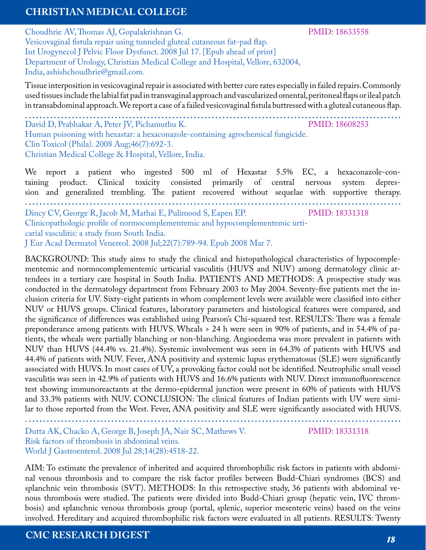Choudhrie AV, Thomas AJ, Gopalakrishnan G. Vesicovaginal fistula repair using tunneled gluteal cutaneous fat-pad flap. Int Urogynecol J Pelvic Floor Dysfunct. 2008 Jul 17. [Epub ahead of print] Department of Urology, Christian Medical College and Hospital, Vellore, 632004, India, ashishchoudhrie@gmail.com.

Tissue interposition in vesicovaginal repair is associated with better cure rates especially in failed repairs. Commonly used tissues include the labial fat pad in transvaginal approach and vascularized omental, peritoneal flaps or ileal patch in transabdominal approach. We report a case of a failed vesicovaginal fistula buttressed with a gluteal cutaneous flap.

David D, Prabhakar A, Peter JV, Pichamuthu K. Human poisoning with hexastar: a hexaconazole-containing agrochemical fungicide. Clin Toxicol (Phila). 2008 Aug;46(7):692-3. Christian Medical College & Hospital, Vellore, India. PMID: 18608253 . **........................................................................................................**

We report a patient who ingested 500 ml of Hexastar 5.5% EC, a hexaconazole-containing product. Clinical toxicity consisted primarily of central nervous system depression and generalized trembling. The patient recovered without sequelae with supportive therapy. . **........................................................................................................** Dincy CV, George R, Jacob M, Mathai E, Pulimood S, Eapen EP. Clinicopathologic profile of normocomplementemic and hypocomplementemic urticarial vasculitis: a study from South India. J Eur Acad Dermatol Venereol. 2008 Jul;22(7):789-94. Epub 2008 Mar 7. PMID: 18331318

BACKGROUND: This study aims to study the clinical and histopathological characteristics of hypocomplementemic and normocomplementemic urticarial vasculitis (HUVS and NUV) among dermatology clinic attendees in a tertiary care hospital in South India. PATIENTS AND METHODS: A prospective study was conducted in the dermatology department from February 2003 to May 2004. Seventy-five patients met the inclusion criteria for UV. Sixty-eight patients in whom complement levels were available were classified into either NUV or HUVS groups. Clinical features, laboratory parameters and histological features were compared, and the significance of differences was established using Pearson's Chi-squared test. RESULTS: There was a female preponderance among patients with HUVS. Wheals > 24 h were seen in 90% of patients, and in 54.4% of patients, the wheals were partially blanching or non-blanching. Angioedema was more prevalent in patients with NUV than HUVS (44.4% vs. 21.4%). Systemic involvement was seen in 64.3% of patients with HUVS and 44.4% of patients with NUV. Fever, ANA positivity and systemic lupus erythematosus (SLE) were significantly associated with HUVS. In most cases of UV, a provoking factor could not be identified. Neutrophilic small vessel vasculitis was seen in 42.9% of patients with HUVS and 16.6% patients with NUV. Direct immunofluorescence test showing immunoreactants at the dermo-epidermal junction were present in 60% of patients with HUVS and 33.3% patients with NUV. CONCLUSION: The clinical features of Indian patients with UV were similar to those reported from the West. Fever, ANA positivity and SLE were significantly associated with HUVS.

. **........................................................................................................**

PMID: 18331318

Dutta AK, Chacko A, George B, Joseph JA, Nair SC, Mathews V. Risk factors of thrombosis in abdominal veins. World J Gastroenterol. 2008 Jul 28;14(28):4518-22.

AIM: To estimate the prevalence of inherited and acquired thrombophilic risk factors in patients with abdominal venous thrombosis and to compare the risk factor profiles between Budd-Chiari syndromes (BCS) and splanchnic vein thrombosis (SVT). METHODS: In this retrospective study, 36 patients with abdominal venous thrombosis were studied. The patients were divided into Budd-Chiari group (hepatic vein, IVC thrombosis) and splanchnic venous thrombosis group (portal, splenic, superior mesenteric veins) based on the veins involved. Hereditary and acquired thrombophilic risk factors were evaluated in all patients. RESULTS: Twenty

#### **CMC RESEARCH DIGEST** *18*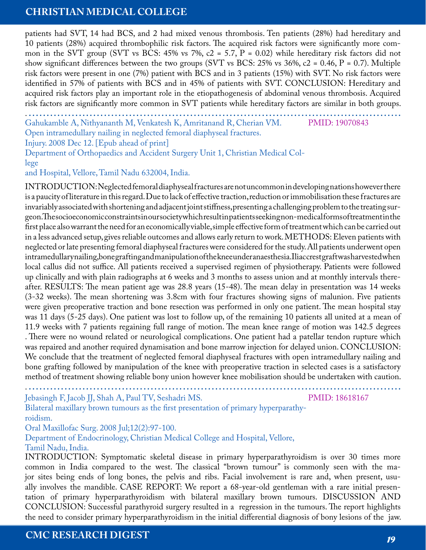patients had SVT, 14 had BCS, and 2 had mixed venous thrombosis. Ten patients (28%) had hereditary and 10 patients (28%) acquired thrombophilic risk factors. The acquired risk factors were significantly more common in the SVT group (SVT vs BCS: 45% vs 7%,  $c2 = 5.7$ , P = 0.02) while hereditary risk factors did not show significant differences between the two groups (SVT vs BCS: 25% vs 36%,  $c2 = 0.46$ , P = 0.7). Multiple risk factors were present in one (7%) patient with BCS and in 3 patients (15%) with SVT. No risk factors were identified in 57% of patients with BCS and in 45% of patients with SVT. CONCLUSION: Hereditary and acquired risk factors play an important role in the etiopathogenesis of abdominal venous thrombosis. Acquired risk factors are significantly more common in SVT patients while hereditary factors are similar in both groups.

. **........................................................................................................** Gahukamble A, Nithyananth M, Venkatesh K, Amritanand R, Cherian VM. Open intramedullary nailing in neglected femoral diaphyseal fractures. PMID: 19070843

Injury. 2008 Dec 12. [Epub ahead of print]

Department of Orthopaedics and Accident Surgery Unit 1, Christian Medical College

and Hospital, Vellore, Tamil Nadu 632004, India.

INTRODUCTION: Neglected femoral diaphyseal fractures are not uncommon in developing nations however there is a paucity of literature in this regard. Due to lack of effective traction, reduction or immobilisation these fractures are invariably associated with shortening and adjacent joint stiffness, presenting a challenging problem to the treating surgeon. The socioeconomic constraints in our society which result in patients seeking non-medical forms of treatment in the first place also warrant the need for an economically viable, simple effective form of treatment which can be carried out in a less advanced setup, gives reliable outcomes and allows early return to work. METHODS: Eleven patients with neglected or late presenting femoral diaphyseal fractures were considered for the study. All patients underwent open intramedullary nailing, bone grafting and manipulation of the knee under anaesthesia. Iliac crest graft was harvested when local callus did not suffice. All patients received a supervised regimen of physiotherapy. Patients were followed up clinically and with plain radiographs at 6 weeks and 3 months to assess union and at monthly intervals thereafter. RESULTS: The mean patient age was 28.8 years (15-48). The mean delay in presentation was 14 weeks (3-32 weeks). The mean shortening was 3.8cm with four fractures showing signs of malunion. Five patients were given preoperative traction and bone resection was performed in only one patient. The mean hospital stay was 11 days (5-25 days). One patient was lost to follow up, of the remaining 10 patients all united at a mean of 11.9 weeks with 7 patients regaining full range of motion. The mean knee range of motion was 142.5 degrees . There were no wound related or neurological complications. One patient had a patellar tendon rupture which was repaired and another required dynamisation and bone marrow injection for delayed union. CONCLUSION: We conclude that the treatment of neglected femoral diaphyseal fractures with open intramedullary nailing and bone grafting followed by manipulation of the knee with preoperative traction in selected cases is a satisfactory method of treatment showing reliable bony union however knee mobilisation should be undertaken with caution.

Jebasingh F, Jacob JJ, Shah A, Paul TV, Seshadri MS.

PMID: 18618167

Bilateral maxillary brown tumours as the first presentation of primary hyperparathyroidism.

Oral Maxillofac Surg. 2008 Jul;12(2):97-100.

Department of Endocrinology, Christian Medical College and Hospital, Vellore, Tamil Nadu, India.

INTRODUCTION: Symptomatic skeletal disease in primary hyperparathyroidism is over 30 times more common in India compared to the west. The classical "brown tumour" is commonly seen with the major sites being ends of long bones, the pelvis and ribs. Facial involvement is rare and, when present, usually involves the mandible. CASE REPORT: We report a 68-year-old gentleman with a rare initial presentation of primary hyperparathyroidism with bilateral maxillary brown tumours. DISCUSSION AND CONCLUSION: Successful parathyroid surgery resulted in a regression in the tumours. The report highlights the need to consider primary hyperparathyroidism in the initial differential diagnosis of bony lesions of the jaw.

. **........................................................................................................**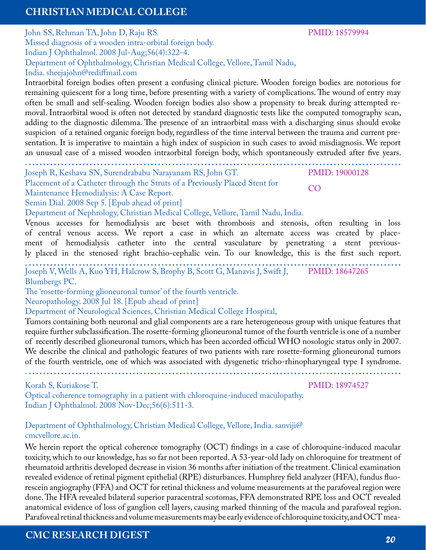John SS, Rehman TA, John D, Raju RS. Missed diagnosis of a wooden intra-orbital foreign body. Indian J Ophthalmol. 2008 Jul-Aug;56(4):322-4. Department of Ophthalmology, Christian Medical College, Vellore, Tamil Nadu, India. sheejajohn@rediffmail.com

Intraorbital foreign bodies often present a confusing clinical picture. Wooden foreign bodies are notorious for remaining quiescent for a long time, before presenting with a variety of complications. The wound of entry may often be small and self-sealing. Wooden foreign bodies also show a propensity to break during attempted removal. Intraorbital wood is often not detected by standard diagnostic tests like the computed tomography scan, adding to the diagnostic dilemma. The presence of an intraorbital mass with a discharging sinus should evoke suspicion of a retained organic foreign body, regardless of the time interval between the trauma and current presentation. It is imperative to maintain a high index of suspicion in such cases to avoid misdiagnosis. We report an unusual case of a missed wooden intraorbital foreign body, which spontaneously extruded after five years.

. **........................................................................................................**

Joseph R, Keshava SN, Surendrababu Narayanam RS, John GT.

Placement of a Catheter through the Struts of a Previously Placed Stent for Maintenance Hemodialysis: A Case Report.

Semin Dial. 2008 Sep 5. [Epub ahead of print]

Department of Nephrology, Christian Medical College, Vellore, Tamil Nadu, India.

Venous accesses for hemodialysis are beset with thrombosis and stenosis, often resulting in loss of central venous access. We report a case in which an alternate access was created by placement of hemodialysis catheter into the central vasculature by penetrating a stent previously placed in the stenosed right brachio-cephalic vein. To our knowledge, this is the first such report.

. **........................................................................................................** Joseph V, Wells A, Kuo YH, Halcrow S, Brophy B, Scott G, Manavis J, Swift J, PMID: 18647265 Blumbergs PC.

The 'rosette-forming glioneuronal tumor' of the fourth ventricle.

Neuropathology. 2008 Jul 18. [Epub ahead of print]

Department of Neurological Sciences, Christian Medical College Hospital,

Tumors containing both neuronal and glial components are a rare heterogeneous group with unique features that require further subclassification. The rosette-forming glioneuronal tumor of the fourth ventricle is one of a number of recently described glioneuronal tumors, which has been accorded official WHO nosologic status only in 2007. We describe the clinical and pathologic features of two patients with rare rosette-forming glioneuronal tumors of the fourth ventricle, one of which was associated with dysgenetic tricho-rhinopharyngeal type I syndrome.

. **........................................................................................................**

Korah S, Kuriakose T.

PMID: 18974527

Optical coherence tomography in a patient with chloroquine-induced maculopathy. Indian J Ophthalmol. 2008 Nov-Dec;56(6):511-3.

Department of Ophthalmology, Christian Medical College, Vellore, India. sanviji@ cmcvellore.ac.in.

We herein report the optical coherence tomography (OCT) findings in a case of chloroquine-induced macular toxicity, which to our knowledge, has so far not been reported. A 53-year-old lady on chloroquine for treatment of rheumatoid arthritis developed decrease in vision 36 months after initiation of the treatment. Clinical examination revealed evidence of retinal pigment epithelial (RPE) disturbances. Humphrey field analyzer (HFA), fundus fluorescein angiography (FFA) and OCT for retinal thickness and volume measurements at the parafoveal region were done. The HFA revealed bilateral superior paracentral scotomas, FFA demonstrated RPE loss and OCT revealed anatomical evidence of loss of ganglion cell layers, causing marked thinning of the macula and parafoveal region. Parafoveal retinal thickness and volume measurements may be early evidence of chloroquine toxicity, and OCT mea-

#### PMID: 18579994

PMID: 19000128

CO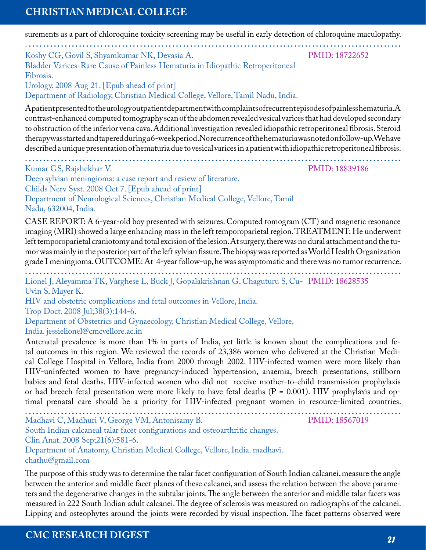surements as a part of chloroquine toxicity screening may be useful in early detection of chloroquine maculopathy.

. **........................................................................................................** Koshy CG, Govil S, Shyamkumar NK, Devasia A. Bladder Varices-Rare Cause of Painless Hematuria in Idiopathic Retroperitoneal Fibrosis. PMID: 18722652

Urology. 2008 Aug 21. [Epub ahead of print]

Department of Radiology, Christian Medical College, Vellore, Tamil Nadu, India.

A patient presented to the urology outpatient department with complaints of recurrent episodes of painless hematuria. A contrast-enhanced computed tomography scan of the abdomen revealed vesical varices that had developed secondary to obstruction of the inferior vena cava. Additional investigation revealed idiopathic retroperitoneal fibrosis. Steroid therapywas started and tapered during a 6-week period. No recurrence of the hematuria was noted on follow-up. We have described a unique presentation of hematuria due to vesical varices in a patient with idiopathic retroperitoneal fibrosis.

. **........................................................................................................**

Kumar GS, Rajshekhar V.

PMID: 18839186

Deep sylvian meningioma: a case report and review of literature.

Childs Nerv Syst. 2008 Oct 7. [Epub ahead of print]

Department of Neurological Sciences, Christian Medical College, Vellore, Tamil Nadu, 632004, India.

CASE REPORT: A 6-year-old boy presented with seizures. Computed tomogram (CT) and magnetic resonance imaging (MRI) showed a large enhancing mass in the left temporoparietal region. TREATMENT: He underwent left temporoparietal craniotomy and total excision of the lesion. At surgery, there was no dural attachment and the tumor was mainly in the posterior part of the left sylvian fissure. The biopsy was reported as World Health Organization grade I meningioma. OUTCOME: At 4-year follow-up, he was asymptomatic and there was no tumor recurrence.

. **........................................................................................................** Lionel J, Aleyamma TK, Varghese L, Buck J, Gopalakrishnan G, Chaguturu S, Cu-PMID: 18628535 Uvin S, Mayer K.

HIV and obstetric complications and fetal outcomes in Vellore, India.

Trop Doct. 2008 Jul;38(3):144-6.

Department of Obstetrics and Gynaecology, Christian Medical College, Vellore,

India. jessielionel@cmcvellore.ac.in

Antenatal prevalence is more than 1% in parts of India, yet little is known about the complications and fetal outcomes in this region. We reviewed the records of 23,386 women who delivered at the Christian Medical College Hospital in Vellore, India from 2000 through 2002. HIV-infected women were more likely than HIV-uninfected women to have pregnancy-induced hypertension, anaemia, breech presentations, stillborn babies and fetal deaths. HIV-infected women who did not receive mother-to-child transmission prophylaxis or had breech fetal presentation were more likely to have fetal deaths (P = 0.001). HIV prophylaxis and optimal prenatal care should be a priority for HIV-infected pregnant women in resource-limited countries.

. **........................................................................................................** Madhavi C, Madhuri V, George VM, Antonisamy B. South Indian calcaneal talar facet configurations and osteoarthritic changes. Clin Anat. 2008 Sep;21(6):581-6. Department of Anatomy, Christian Medical College, Vellore, India. madhavi. chathu@gmail.com PMID: 18567019

The purpose of this study was to determine the talar facet configuration of South Indian calcanei, measure the angle between the anterior and middle facet planes of these calcanei, and assess the relation between the above parameters and the degenerative changes in the subtalar joints. The angle between the anterior and middle talar facets was measured in 222 South Indian adult calcanei. The degree of sclerosis was measured on radiographs of the calcanei. Lipping and osteophytes around the joints were recorded by visual inspection. The facet patterns observed were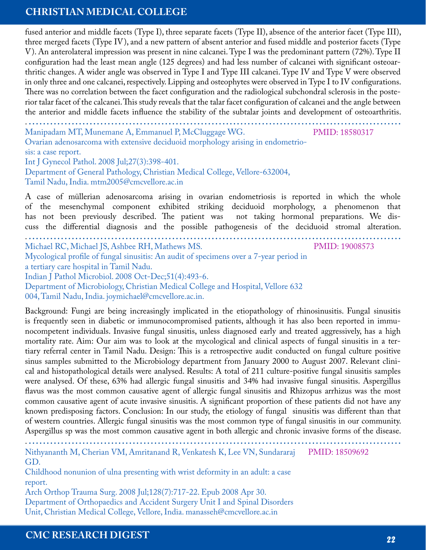fused anterior and middle facets (Type I), three separate facets (Type II), absence of the anterior facet (Type III), three merged facets (Type IV), and a new pattern of absent anterior and fused middle and posterior facets (Type V). An anterolateral impression was present in nine calcanei. Type I was the predominant pattern (72%). Type II configuration had the least mean angle (125 degrees) and had less number of calcanei with significant osteoarthritic changes. A wider angle was observed in Type I and Type III calcanei. Type IV and Type V were observed in only three and one calcanei, respectively. Lipping and osteophytes were observed in Type I to IV configurations. There was no correlation between the facet configuration and the radiological subchondral sclerosis in the posterior talar facet of the calcanei. This study reveals that the talar facet configuration of calcanei and the angle between the anterior and middle facets influence the stability of the subtalar joints and development of osteoarthritis.

| Manipadam MT, Munemane A, Emmanuel P, McCluggage WG.<br>Ovarian adenosarcoma with extensive deciduoid morphology arising in endometrio-                                                                                                                                                                                                                                                           | PMID: 18580317 |
|---------------------------------------------------------------------------------------------------------------------------------------------------------------------------------------------------------------------------------------------------------------------------------------------------------------------------------------------------------------------------------------------------|----------------|
| sis: a case report.                                                                                                                                                                                                                                                                                                                                                                               |                |
| Int J Gynecol Pathol. 2008 Jul; 27(3): 398-401.                                                                                                                                                                                                                                                                                                                                                   |                |
| Department of General Pathology, Christian Medical College, Vellore-632004,                                                                                                                                                                                                                                                                                                                       |                |
| Tamil Nadu, India. mtm2005@cmcvellore.ac.in                                                                                                                                                                                                                                                                                                                                                       |                |
| A case of müllerian adenosarcoma arising in ovarian endometriosis is reported in which the whole<br>of the mesenchymal component exhibited striking deciduoid morphology, a phenomenon that<br>has not been previously described. The patient was not taking hormonal preparations. We dis-<br>cuss the differential diagnosis and the possible pathogenesis of the deciduoid stromal alteration. |                |
| Michael RC, Michael JS, Ashbee RH, Mathews MS.                                                                                                                                                                                                                                                                                                                                                    | PMID: 19008573 |
| Mycological profile of fungal sinusitis: An audit of specimens over a 7-year period in                                                                                                                                                                                                                                                                                                            |                |
| a tertiary care hospital in Tamil Nadu.                                                                                                                                                                                                                                                                                                                                                           |                |
| Indian J Pathol Microbiol. 2008 Oct-Dec;51(4):493-6.                                                                                                                                                                                                                                                                                                                                              |                |
| Department of Microbiology, Christian Medical College and Hospital, Vellore 632                                                                                                                                                                                                                                                                                                                   |                |

004, Tamil Nadu, India. joymichael@cmcvellore.ac.in.

Background: Fungi are being increasingly implicated in the etiopathology of rhinosinusitis. Fungal sinusitis is frequently seen in diabetic or immunocompromised patients, although it has also been reported in immunocompetent individuals. Invasive fungal sinusitis, unless diagnosed early and treated aggressively, has a high mortality rate. Aim: Our aim was to look at the mycological and clinical aspects of fungal sinusitis in a tertiary referral center in Tamil Nadu. Design: This is a retrospective audit conducted on fungal culture positive sinus samples submitted to the Microbiology department from January 2000 to August 2007. Relevant clinical and histopathological details were analysed. Results: A total of 211 culture-positive fungal sinusitis samples were analysed. Of these, 63% had allergic fungal sinusitis and 34% had invasive fungal sinusitis. Aspergillus flavus was the most common causative agent of allergic fungal sinusitis and Rhizopus arrhizus was the most common causative agent of acute invasive sinusitis. A significant proportion of these patients did not have any known predisposing factors. Conclusion: In our study, the etiology of fungal sinusitis was different than that of western countries. Allergic fungal sinusitis was the most common type of fungal sinusitis in our community. Aspergillus sp was the most common causative agent in both allergic and chronic invasive forms of the disease.

Nithyananth M, Cherian VM, Amritanand R, Venkatesh K, Lee VN, Sundararaj GD. PMID: 18509692

Childhood nonunion of ulna presenting with wrist deformity in an adult: a case report.

. **........................................................................................................**

Arch Orthop Trauma Surg. 2008 Jul;128(7):717-22. Epub 2008 Apr 30. Department of Orthopaedics and Accident Surgery Unit I and Spinal Disorders Unit, Christian Medical College, Vellore, India. manasseh@cmcvellore.ac.in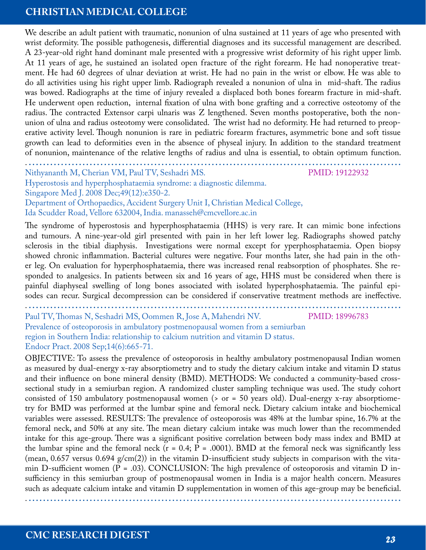We describe an adult patient with traumatic, nonunion of ulna sustained at 11 years of age who presented with wrist deformity. The possible pathogenesis, differential diagnoses and its successful management are described. A 23-year-old right hand dominant male presented with a progressive wrist deformity of his right upper limb. At 11 years of age, he sustained an isolated open fracture of the right forearm. He had nonoperative treatment. He had 60 degrees of ulnar deviation at wrist. He had no pain in the wrist or elbow. He was able to do all activities using his right upper limb. Radiograph revealed a nonunion of ulna in mid-shaft. The radius was bowed. Radiographs at the time of injury revealed a displaced both bones forearm fracture in mid-shaft. He underwent open reduction, internal fixation of ulna with bone grafting and a corrective osteotomy of the radius. The contracted Extensor carpi ulnaris was Z lengthened. Seven months postoperative, both the nonunion of ulna and radius osteotomy were consolidated. The wrist had no deformity. He had returned to preoperative activity level. Though nonunion is rare in pediatric forearm fractures, asymmetric bone and soft tissue growth can lead to deformities even in the absence of physeal injury. In addition to the standard treatment of nonunion, maintenance of the relative lengths of radius and ulna is essential, to obtain optimum function.

. **........................................................................................................** Nithyananth M, Cherian VM, Paul TV, Seshadri MS.

PMID: 19122932

Hyperostosis and hyperphosphataemia syndrome: a diagnostic dilemma. Singapore Med J. 2008 Dec;49(12):e350-2.

Department of Orthopaedics, Accident Surgery Unit I, Christian Medical College, Ida Scudder Road, Vellore 632004, India. manasseh@cmcvellore.ac.in

The syndrome of hyperostosis and hyperphosphataemia (HHS) is very rare. It can mimic bone infections and tumours. A nine-year-old girl presented with pain in her left lower leg. Radiographs showed patchy sclerosis in the tibial diaphysis. Investigations were normal except for yperphosphataemia. Open biopsy showed chronic inflammation. Bacterial cultures were negative. Four months later, she had pain in the other leg. On evaluation for hyperphosphataemia, there was increased renal reabsorption of phosphates. She responded to analgesics. In patients between six and 16 years of age, HHS must be considered when there is painful diaphyseal swelling of long bones associated with isolated hyperphosphataemia. The painful episodes can recur. Surgical decompression can be considered if conservative treatment methods are ineffective.

. **........................................................................................................**

Paul TV, Thomas N, Seshadri MS, Oommen R, Jose A, Mahendri NV. Prevalence of osteoporosis in ambulatory postmenopausal women from a semiurban region in Southern India: relationship to calcium nutrition and vitamin D status. Endocr Pract. 2008 Sep;14(6):665-71. PMID: 18996783

OBJECTIVE: To assess the prevalence of osteoporosis in healthy ambulatory postmenopausal Indian women as measured by dual-energy x-ray absorptiometry and to study the dietary calcium intake and vitamin D status and their influence on bone mineral density (BMD). METHODS: We conducted a community-based crosssectional study in a semiurban region. A randomized cluster sampling technique was used. The study cohort consisted of 150 ambulatory postmenopausal women (> or = 50 years old). Dual-energy x-ray absorptiometry for BMD was performed at the lumbar spine and femoral neck. Dietary calcium intake and biochemical variables were assessed. RESULTS: The prevalence of osteoporosis was 48% at the lumbar spine, 16.7% at the femoral neck, and 50% at any site. The mean dietary calcium intake was much lower than the recommended intake for this age-group. There was a significant positive correlation between body mass index and BMD at the lumbar spine and the femoral neck ( $r = 0.4$ ;  $P = .0001$ ). BMD at the femoral neck was significantly less (mean,  $0.657$  versus  $0.694$  g/cm(2)) in the vitamin D-insufficient study subjects in comparison with the vitamin D-sufficient women  $(P = .03)$ . CONCLUSION: The high prevalence of osteoporosis and vitamin D insufficiency in this semiurban group of postmenopausal women in India is a major health concern. Measures such as adequate calcium intake and vitamin D supplementation in women of this age-group may be beneficial. . **........................................................................................................**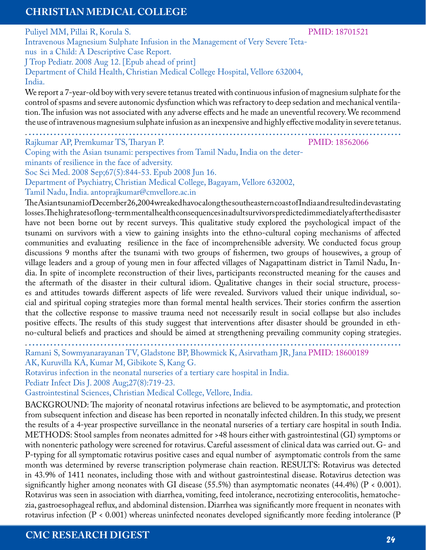Puliyel MM, Pillai R, Korula S. Intravenous Magnesium Sulphate Infusion in the Management of Very Severe Tetanus in a Child: A Descriptive Case Report. J Trop Pediatr. 2008 Aug 12. [Epub ahead of print] Department of Child Health, Christian Medical College Hospital, Vellore 632004, PMID: 18701521

India.

We report a 7-year-old boy with very severe tetanus treated with continuous infusion of magnesium sulphate for the control of spasms and severe autonomic dysfunction which was refractory to deep sedation and mechanical ventilation. The infusion was not associated with any adverse effects and he made an uneventful recovery. We recommend the use of intravenous magnesium sulphate infusion as an inexpensive and highly effective modality in severe tetanus.

. **........................................................................................................** Rajkumar AP, Premkumar TS, Tharyan P.

PMID: 18562066

Coping with the Asian tsunami: perspectives from Tamil Nadu, India on the determinants of resilience in the face of adversity. Soc Sci Med. 2008 Sep;67(5):844-53. Epub 2008 Jun 16. Department of Psychiatry, Christian Medical College, Bagayam, Vellore 632002, Tamil Nadu, India. antoprajkumar@cmvellore.ac.in

The Asiantsunami of December 26, 2004 wreaked havoc along the southeastern coast of India and resulted indevastating losses. The high rates of long-term mental health consequences in adult survivors predicted immediately after the disaster have not been borne out by recent surveys. This qualitative study explored the psychological impact of the tsunami on survivors with a view to gaining insights into the ethno-cultural coping mechanisms of affected communities and evaluating resilience in the face of incomprehensible adversity. We conducted focus group discussions 9 months after the tsunami with two groups of fishermen, two groups of housewives, a group of village leaders and a group of young men in four affected villages of Nagapattinam district in Tamil Nadu, India. In spite of incomplete reconstruction of their lives, participants reconstructed meaning for the causes and the aftermath of the disaster in their cultural idiom. Qualitative changes in their social structure, processes and attitudes towards different aspects of life were revealed. Survivors valued their unique individual, social and spiritual coping strategies more than formal mental health services. Their stories confirm the assertion that the collective response to massive trauma need not necessarily result in social collapse but also includes positive effects. The results of this study suggest that interventions after disaster should be grounded in ethno-cultural beliefs and practices and should be aimed at strengthening prevailing community coping strategies.

. **........................................................................................................** Ramani S, Sowmyanarayanan TV, Gladstone BP, Bhowmick K, Asirvatham JR, Jana PMID: 18600189

AK, Kuruvilla KA, Kumar M, Gibikote S, Kang G.

Rotavirus infection in the neonatal nurseries of a tertiary care hospital in India.

Pediatr Infect Dis J. 2008 Aug;27(8):719-23.

Gastrointestinal Sciences, Christian Medical College, Vellore, India.

BACKGROUND: The majority of neonatal rotavirus infections are believed to be asymptomatic, and protection from subsequent infection and disease has been reported in neonatally infected children. In this study, we present the results of a 4-year prospective surveillance in the neonatal nurseries of a tertiary care hospital in south India. METHODS: Stool samples from neonates admitted for >48 hours either with gastrointestinal (GI) symptoms or with nonenteric pathology were screened for rotavirus. Careful assessment of clinical data was carried out. G- and P-typing for all symptomatic rotavirus positive cases and equal number of asymptomatic controls from the same month was determined by reverse transcription polymerase chain reaction. RESULTS: Rotavirus was detected in 43.9% of 1411 neonates, including those with and without gastrointestinal disease. Rotavirus detection was significantly higher among neonates with GI disease (55.5%) than asymptomatic neonates (44.4%) ( $P < 0.001$ ). Rotavirus was seen in association with diarrhea, vomiting, feed intolerance, necrotizing enterocolitis, hematochezia, gastroesophageal reflux, and abdominal distension. Diarrhea was significantly more frequent in neonates with rotavirus infection (P < 0.001) whereas uninfected neonates developed significantly more feeding intolerance (P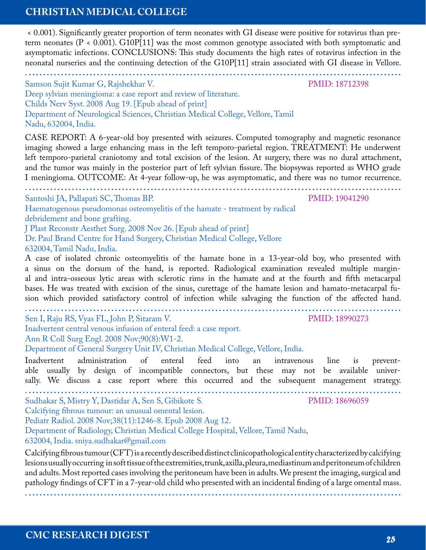< 0.001). Significantly greater proportion of term neonates with GI disease were positive for rotavirus than preterm neonates  $(P < 0.001)$ . G10P[11] was the most common genotype associated with both symptomatic and asymptomatic infections. CONCLUSIONS: This study documents the high rates of rotavirus infection in the neonatal nurseries and the continuing detection of the G10P[11] strain associated with GI disease in Vellore.

| Samson Sujit Kumar G, Rajshekhar V. |  |
|-------------------------------------|--|
|                                     |  |

Deep sylvian meningioma: a case report and review of literature. Childs Nerv Syst. 2008 Aug 19. [Epub ahead of print] Department of Neurological Sciences, Christian Medical College, Vellore, Tamil Nadu, 632004, India.

CASE REPORT: A 6-year-old boy presented with seizures. Computed tomography and magnetic resonance imaging showed a large enhancing mass in the left temporo-parietal region. TREATMENT: He underwent left temporo-parietal craniotomy and total excision of the lesion. At surgery, there was no dural attachment, and the tumor was mainly in the posterior part of left sylvian fissure. The biopsywas reported as WHO grade I meningioma. OUTCOME: At 4-year follow-up, he was asymptomatic, and there was no tumor recurrence.

. **........................................................................................................** Santoshi JA, Pallapati SC, Thomas BP.

Haematogenous pseudomonas osteomyelitis of the hamate - treatment by radical debridement and bone grafting.

J Plast Reconstr Aesthet Surg. 2008 Nov 26. [Epub ahead of print]

Dr. Paul Brand Centre for Hand Surgery, Christian Medical College, Vellore 632004, Tamil Nadu, India.

A case of isolated chronic osteomyelitis of the hamate bone in a 13-year-old boy, who presented with a sinus on the dorsum of the hand, is reported. Radiological examination revealed multiple marginal and intra-osseous lytic areas with sclerotic rims in the hamate and at the fourth and fifth metacarpal bases. He was treated with excision of the sinus, curettage of the hamate lesion and hamato-metacarpal fusion which provided satisfactory control of infection while salvaging the function of the affected hand.

. **........................................................................................................** Sen I, Raju RS, Vyas FL, John P, Sitaram V.

Inadvertent central venous infusion of enteral feed: a case report.

Ann R Coll Surg Engl. 2008 Nov;90(8):W1-2.

Department of General Surgery Unit IV, Christian Medical College, Vellore, India.

Inadvertent administration of enteral feed into an intravenous line is preventable usually by design of incompatible connectors, but these may not be available universally. We discuss a case report where this occurred and the subsequent management strategy.

. **........................................................................................................** Sudhakar S, Mistry Y, Dastidar A, Sen S, Gibikote S.

Calcifying fibrous tumour: an unusual omental lesion.

Pediatr Radiol. 2008 Nov;38(11):1246-8. Epub 2008 Aug 12.

Department of Radiology, Christian Medical College Hospital, Vellore, Tamil Nadu,

632004, India. sniya.sudhakar@gmail.com

Calcifying fibrous tumour (CFT) is a recently described distinct clinicopathological entity characterized by calcifying lesions usually occurring in soft tissue of the extremities, trunk, axilla, pleura, mediastinum and peritoneum of children and adults. Most reported cases involving the peritoneum have been in adults. We present the imaging, surgical and pathology findings of CFT in a 7-year-old child who presented with an incidental finding of a large omental mass.

PMID: 19041290

PMID: 18990273

PMID: 18696059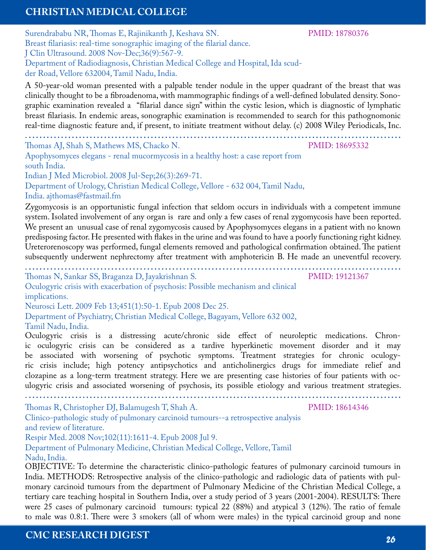Surendrababu NR, Thomas E, Rajinikanth J, Keshava SN. Breast filariasis: real-time sonographic imaging of the filarial dance. J Clin Ultrasound. 2008 Nov-Dec;36(9):567-9. Department of Radiodiagnosis, Christian Medical College and Hospital, Ida scudder Road, Vellore 632004, Tamil Nadu, India.

A 50-year-old woman presented with a palpable tender nodule in the upper quadrant of the breast that was clinically thought to be a fibroadenoma, with mammographic findings of a well-defined lobulated density. Sonographic examination revealed a "filarial dance sign" within the cystic lesion, which is diagnostic of lymphatic breast filariasis. In endemic areas, sonographic examination is recommended to search for this pathognomonic real-time diagnostic feature and, if present, to initiate treatment without delay. (c) 2008 Wiley Periodicals, Inc.

. **........................................................................................................** Thomas AJ, Shah S, Mathews MS, Chacko N.

Apophysomyces elegans - renal mucormycosis in a healthy host: a case report from south India. Indian J Med Microbiol. 2008 Jul-Sep;26(3):269-71.

Department of Urology, Christian Medical College, Vellore - 632 004, Tamil Nadu, India. ajthomas@fastmail.fm

Zygomycosis is an opportunistic fungal infection that seldom occurs in individuals with a competent immune system. Isolated involvement of any organ is rare and only a few cases of renal zygomycosis have been reported. We present an unusual case of renal zygomycosis caused by Apophysomyces elegans in a patient with no known predisposing factor. He presented with flakes in the urine and was found to have a poorly functioning right kidney. Ureterorenoscopy was performed, fungal elements removed and pathological confirmation obtained. The patient subsequently underwent nephrectomy after treatment with amphotericin B. He made an uneventful recovery.

. **........................................................................................................** Thomas N, Sankar SS, Braganza D, Jayakrishnan S.

Oculogyric crisis with exacerbation of psychosis: Possible mechanism and clinical implications.

Neurosci Lett. 2009 Feb 13;451(1):50-1. Epub 2008 Dec 25.

Department of Psychiatry, Christian Medical College, Bagayam, Vellore 632 002, Tamil Nadu, India.

Oculogyric crisis is a distressing acute/chronic side effect of neuroleptic medications. Chronic oculogyric crisis can be considered as a tardive hyperkinetic movement disorder and it may be associated with worsening of psychotic symptoms. Treatment strategies for chronic oculogyric crisis include; high potency antipsychotics and anticholinergics drugs for immediate relief and clozapine as a long-term treatment strategy. Here we are presenting case histories of four patients with oculogyric crisis and associated worsening of psychosis, its possible etiology and various treatment strategies.

. **........................................................................................................**

Thomas R, Christopher DJ, Balamugesh T, Shah A.

Clinico-pathologic study of pulmonary carcinoid tumours--a retrospective analysis and review of literature.

Respir Med. 2008 Nov;102(11):1611-4. Epub 2008 Jul 9.

Department of Pulmonary Medicine, Christian Medical College, Vellore, Tamil Nadu, India.

OBJECTIVE: To determine the characteristic clinico-pathologic features of pulmonary carcinoid tumours in India. METHODS: Retrospective analysis of the clinico-pathologic and radiologic data of patients with pulmonary carcinoid tumours from the department of Pulmonary Medicine of the Christian Medical College, a tertiary care teaching hospital in Southern India, over a study period of 3 years (2001-2004). RESULTS: There were 25 cases of pulmonary carcinoid tumours: typical 22 (88%) and atypical 3 (12%). The ratio of female to male was 0.8:1. There were 3 smokers (all of whom were males) in the typical carcinoid group and none

#### PMID: 18780376

PMID: 18695332

PMID: 19121367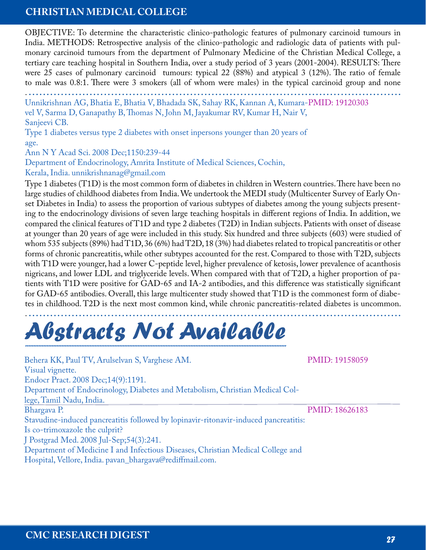OBJECTIVE: To determine the characteristic clinico-pathologic features of pulmonary carcinoid tumours in India. METHODS: Retrospective analysis of the clinico-pathologic and radiologic data of patients with pulmonary carcinoid tumours from the department of Pulmonary Medicine of the Christian Medical College, a tertiary care teaching hospital in Southern India, over a study period of 3 years (2001-2004). RESULTS: There were 25 cases of pulmonary carcinoid tumours: typical 22 (88%) and atypical 3 (12%). The ratio of female to male was 0.8:1. There were 3 smokers (all of whom were males) in the typical carcinoid group and none

. **........................................................................................................** Unnikrishnan AG, Bhatia E, Bhatia V, Bhadada SK, Sahay RK, Kannan A, Kumara-PMID: 19120303

vel V, Sarma D, Ganapathy B, Thomas N, John M, Jayakumar RV, Kumar H, Nair V, Sanjeevi CB.

Type 1 diabetes versus type 2 diabetes with onset inpersons younger than 20 years of age.

Ann N Y Acad Sci. 2008 Dec;1150:239-44

Department of Endocrinology, Amrita Institute of Medical Sciences, Cochin,

Kerala, India. unnikrishnanag@gmail.com

Type 1 diabetes (T1D) is the most common form of diabetes in children in Western countries. There have been no large studies of childhood diabetes from India. We undertook the MEDI study (Multicenter Survey of Early Onset Diabetes in India) to assess the proportion of various subtypes of diabetes among the young subjects presenting to the endocrinology divisions of seven large teaching hospitals in different regions of India. In addition, we compared the clinical features of T1D and type 2 diabetes (T2D) in Indian subjects. Patients with onset of disease at younger than 20 years of age were included in this study. Six hundred and three subjects (603) were studied of whom 535 subjects (89%) had T1D, 36 (6%) had T2D, 18 (3%) had diabetes related to tropical pancreatitis or other forms of chronic pancreatitis, while other subtypes accounted for the rest. Compared to those with T2D, subjects with T1D were younger, had a lower C-peptide level, higher prevalence of ketosis, lower prevalence of acanthosis nigricans, and lower LDL and triglyceride levels. When compared with that of T2D, a higher proportion of patients with T1D were positive for GAD-65 and IA-2 antibodies, and this difference was statistically significant for GAD-65 antibodies. Overall, this large multicenter study showed that T1D is the commonest form of diabetes in childhood. T2D is the next most common kind, while chronic pancreatitis-related diabetes is uncommon.

### . **........................................................................................................** *Abstracts Not Available ..............................................................................................................................................................*

Behera KK, Paul TV, Arulselvan S, Varghese AM. Visual vignette. Endocr Pract. 2008 Dec;14(9):1191. Department of Endocrinology, Diabetes and Metabolism, Christian Medical College, Tamil Nadu, India. Bhargava P. Stavudine-induced pancreatitis followed by lopinavir-ritonavir-induced pancreatitis: Is co-trimoxazole the culprit? J Postgrad Med. 2008 Jul-Sep;54(3):241. Department of Medicine I and Infectious Diseases, Christian Medical College and Hospital, Vellore, India. pavan\_bhargava@rediffmail.com. PMID: 18626183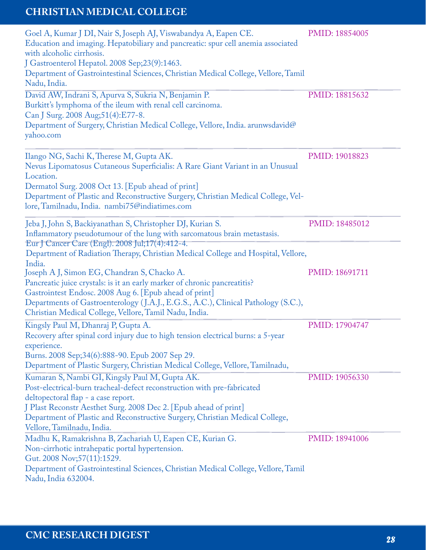| Goel A, Kumar J DI, Nair S, Joseph AJ, Viswabandya A, Eapen CE.<br>Education and imaging. Hepatobiliary and pancreatic: spur cell anemia associated<br>with alcoholic cirrhosis.<br>J Gastroenterol Hepatol. 2008 Sep;23(9):1463.<br>Department of Gastrointestinal Sciences, Christian Medical College, Vellore, Tamil<br>Nadu, India.            | PMID: 18854005 |
|----------------------------------------------------------------------------------------------------------------------------------------------------------------------------------------------------------------------------------------------------------------------------------------------------------------------------------------------------|----------------|
| David AW, Indrani S, Apurva S, Sukria N, Benjamin P.<br>Burkitt's lymphoma of the ileum with renal cell carcinoma.<br>Can J Surg. 2008 Aug; 51(4): E77-8.<br>Department of Surgery, Christian Medical College, Vellore, India. arunwsdavid@<br>yahoo.com                                                                                           | PMID: 18815632 |
| Ilango NG, Sachi K, Therese M, Gupta AK.<br>Nevus Lipomatosus Cutaneous Superficialis: A Rare Giant Variant in an Unusual<br>Location.<br>Dermatol Surg. 2008 Oct 13. [Epub ahead of print]<br>Department of Plastic and Reconstructive Surgery, Christian Medical College, Vel-<br>lore, Tamilnadu, India. nambi75@indiatimes.com                 | PMID: 19018823 |
| Jeba J, John S, Backiyanathan S, Christopher DJ, Kurian S.<br>Inflammatory pseudotumour of the lung with sarcomatous brain metastasis.<br>Eur J Cancer Care (Engl). 2008 Jul;17(4):412-4.<br>Department of Radiation Therapy, Christian Medical College and Hospital, Vellore,                                                                     | PMID: 18485012 |
| India.<br>Joseph A J, Simon EG, Chandran S, Chacko A.<br>Pancreatic juice crystals: is it an early marker of chronic pancreatitis?<br>Gastrointest Endosc. 2008 Aug 6. [Epub ahead of print]<br>Departments of Gastroenterology (J.A.J., E.G.S., A.C.), Clinical Pathology (S.C.),<br>Christian Medical College, Vellore, Tamil Nadu, India.       | PMID: 18691711 |
| Kingsly Paul M, Dhanraj P, Gupta A.<br>Recovery after spinal cord injury due to high tension electrical burns: a 5-year<br>experience.<br>Burns. 2008 Sep; 34(6): 888-90. Epub 2007 Sep 29.<br>Department of Plastic Surgery, Christian Medical College, Vellore, Tamilnadu,                                                                       | PMID: 17904747 |
| Kumaran S, Nambi GI, Kingsly Paul M, Gupta AK.<br>Post-electrical-burn tracheal-defect reconstruction with pre-fabricated<br>deltopectoral flap - a case report.<br>J Plast Reconstr Aesthet Surg. 2008 Dec 2. [Epub ahead of print]<br>Department of Plastic and Reconstructive Surgery, Christian Medical College,<br>Vellore, Tamilnadu, India. | PMID: 19056330 |
| Madhu K, Ramakrishna B, Zachariah U, Eapen CE, Kurian G.<br>Non-cirrhotic intrahepatic portal hypertension.<br>Gut. 2008 Nov;57(11):1529.<br>Department of Gastrointestinal Sciences, Christian Medical College, Vellore, Tamil<br>Nadu, India 632004.                                                                                             | PMID: 18941006 |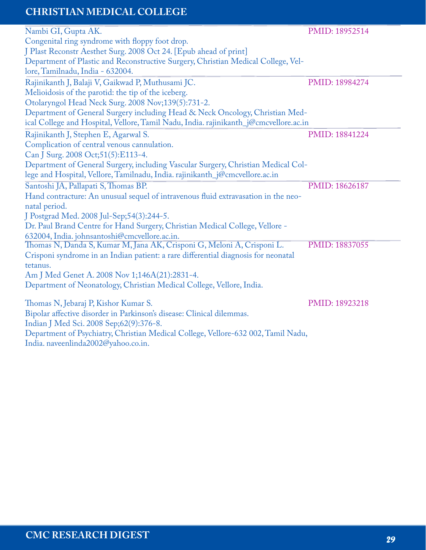| Nambi GI, Gupta AK.                                                                                                      | PMID: 18952514 |
|--------------------------------------------------------------------------------------------------------------------------|----------------|
| Congenital ring syndrome with floppy foot drop.                                                                          |                |
| J Plast Reconstr Aesthet Surg. 2008 Oct 24. [Epub ahead of print]                                                        |                |
| Department of Plastic and Reconstructive Surgery, Christian Medical College, Vel-                                        |                |
| lore, Tamilnadu, India - 632004.                                                                                         |                |
| Rajinikanth J, Balaji V, Gaikwad P, Muthusami JC.                                                                        | PMID: 18984274 |
| Melioidosis of the parotid: the tip of the iceberg.                                                                      |                |
| Otolaryngol Head Neck Surg. 2008 Nov;139(5):731-2.                                                                       |                |
| Department of General Surgery including Head & Neck Oncology, Christian Med-                                             |                |
| ical College and Hospital, Vellore, Tamil Nadu, India. rajinikanth_j@cmcvellore.ac.in                                    |                |
| Rajinikanth J, Stephen E, Agarwal S.                                                                                     | PMID: 18841224 |
| Complication of central venous cannulation.                                                                              |                |
| Can J Surg. 2008 Oct;51(5):E113-4.                                                                                       |                |
| Department of General Surgery, including Vascular Surgery, Christian Medical Col-                                        |                |
| lege and Hospital, Vellore, Tamilnadu, India. rajinikanth_j@cmcvellore.ac.in                                             |                |
| Santoshi JA, Pallapati S, Thomas BP.                                                                                     | PMID: 18626187 |
| Hand contracture: An unusual sequel of intravenous fluid extravasation in the neo-                                       |                |
| natal period.                                                                                                            |                |
| J Postgrad Med. 2008 Jul-Sep;54(3):244-5.                                                                                |                |
| Dr. Paul Brand Centre for Hand Surgery, Christian Medical College, Vellore -                                             |                |
| 632004, India. johnsantoshi@cmcvellore.ac.in.                                                                            |                |
| Thomas N, Danda S, Kumar M, Jana AK, Crisponi G, Meloni A, Crisponi L.                                                   | PMID: 18837055 |
| Crisponi syndrome in an Indian patient: a rare differential diagnosis for neonatal                                       |                |
| tetanus.                                                                                                                 |                |
| Am J Med Genet A. 2008 Nov 1;146A(21):2831-4.                                                                            |                |
| Department of Neonatology, Christian Medical College, Vellore, India.                                                    |                |
| Thomas N, Jebaraj P, Kishor Kumar S.                                                                                     | PMID: 18923218 |
| Bipolar affective disorder in Parkinson's disease: Clinical dilemmas.                                                    |                |
| Indian J Med Sci. 2008 Sep;62(9):376-8.                                                                                  |                |
|                                                                                                                          |                |
|                                                                                                                          |                |
| Department of Psychiatry, Christian Medical College, Vellore-632 002, Tamil Nadu,<br>India. naveenlinda2002@yahoo.co.in. |                |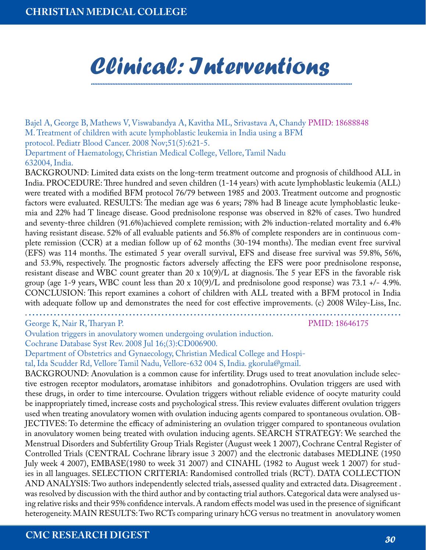### *Clinical: Interventions ..............................................................................................................................................................*

Bajel A, George B, Mathews V, Viswabandya A, Kavitha ML, Srivastava A, Chandy PMID: 18688848 M. Treatment of children with acute lymphoblastic leukemia in India using a BFM protocol. Pediatr Blood Cancer. 2008 Nov;51(5):621-5.

Department of Haematology, Christian Medical College, Vellore, Tamil Nadu 632004, India.

BACKGROUND: Limited data exists on the long-term treatment outcome and prognosis of childhood ALL in India. PROCEDURE: Three hundred and seven children (1-14 years) with acute lymphoblastic leukemia (ALL) were treated with a modified BFM protocol 76/79 between 1985 and 2003. Treatment outcome and prognostic factors were evaluated. RESULTS: The median age was 6 years; 78% had B lineage acute lymphoblastic leukemia and 22% had T lineage disease. Good prednisolone response was observed in 82% of cases. Two hundred and seventy-three children (91.6%)achieved complete remission; with 2% induction-related mortality and 6.4% having resistant disease. 52% of all evaluable patients and 56.8% of complete responders are in continuous complete remission (CCR) at a median follow up of 62 months (30-194 months). The median event free survival (EFS) was 114 months. The estimated 5 year overall survival, EFS and disease free survival was 59.8%, 56%, and 53.9%, respectively. The prognostic factors adversely affecting the EFS were poor prednisolone response, resistant disease and WBC count greater than 20 x 10(9)/L at diagnosis. The 5 year EFS in the favorable risk group (age 1-9 years, WBC count less than  $20 \times 10(9)/L$  and prednisolone good response) was 73.1 +/- 4.9%. CONCLUSION: This report examines a cohort of children with ALL treated with a BFM protocol in India with adequate follow up and demonstrates the need for cost effective improvements. (c) 2008 Wiley-Liss, Inc.

. **........................................................................................................**

George K, Nair R, Tharyan P.

PMID: 18646175

Ovulation triggers in anovulatory women undergoing ovulation induction.

Cochrane Database Syst Rev. 2008 Jul 16;(3):CD006900.

Department of Obstetrics and Gynaecology, Christian Medical College and Hospi-

tal, Ida Scudder Rd, Vellore Tamil Nadu, Vellore-632 004 S, India. gkorula@gmail.

BACKGROUND: Anovulation is a common cause for infertility. Drugs used to treat anovulation include selective estrogen receptor modulators, aromatase inhibitors and gonadotrophins. Ovulation triggers are used with these drugs, in order to time intercourse. Ovulation triggers without reliable evidence of oocyte maturity could be inappropriately timed, increase costs and psychological stress. This review evaluates different ovulation triggers used when treating anovulatory women with ovulation inducing agents compared to spontaneous ovulation. OB-JECTIVES: To determine the efficacy of administering an ovulation trigger compared to spontaneous ovulation in anovulatory women being treated with ovulation inducing agents. SEARCH STRATEGY: We searched the Menstrual Disorders and Subfertility Group Trials Register (August week 1 2007), Cochrane Central Register of Controlled Trials (CENTRAL Cochrane library issue 3 2007) and the electronic databases MEDLINE (1950 July week 4 2007), EMBASE(1980 to week 31 2007) and CINAHL (1982 to August week 1 2007) for studies in all languages. SELECTION CRITERIA: Randomised controlled trials (RCT). DATA COLLECTION AND ANALYSIS: Two authors independently selected trials, assessed quality and extracted data. Disagreement . was resolved by discussion with the third author and by contacting trial authors. Categorical data were analysed using relative risks and their 95% confidence intervals. A random effects model was used in the presence of significant heterogeneity. MAIN RESULTS: Two RCTs comparing urinary hCG versus no treatment in anovulatory women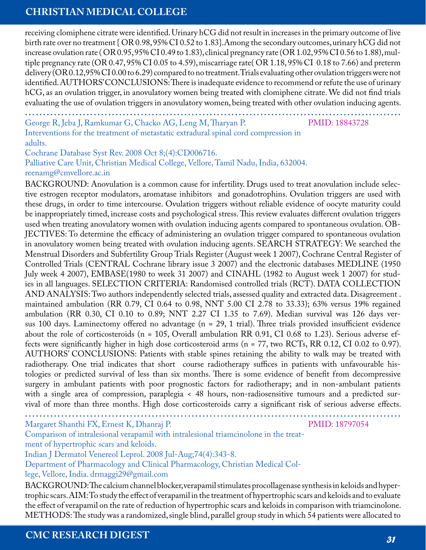receiving clomiphene citrate were identified. Urinary hCG did not result in increases in the primary outcome of live birth rate over no treatment { OR 0.98, 95% CI 0.52 to 1.83}.Among the secondary outcomes, urinary hCG did not increase ovulation rate ( OR 0.95, 95% CI 0.49 to 1.83), clinical pregnancy rate (OR 1.02, 95% CI 0.56 to 1.88), multiple pregnancy rate (OR 0.47, 95% CI 0.05 to 4.59), miscarriage rate( OR 1.18, 95% CI 0.18 to 7.66) and preterm delivery (OR 0.12,95% CI 0.00 to 6.29) compared to no treatment.Trials evaluating other ovulation triggers were not identified. AUTHORS' CONCLUSIONS: There is inadequate evidence to recommend or refute the use of urinary hCG, as an ovulation trigger, in anovulatory women being treated with clomiphene citrate. We did not find trials evaluating the use of ovulation triggers in anovulatory women, being treated with other ovulation inducing agents.

George R, Jeba J, Ramkumar G, Chacko AG, Leng M, Tharyan P. **........................................................................................................**

PMID: 18843728

Interventions for the treatment of metastatic extradural spinal cord compression in adults.

Cochrane Database Syst Rev. 2008 Oct 8;(4):CD006716.

Palliative Care Unit, Christian Medical College, Vellore, Tamil Nadu, India, 632004. reenamg@cmvellore.ac.in

BACKGROUND: Anovulation is a common cause for infertility. Drugs used to treat anovulation include selective estrogen receptor modulators, aromatase inhibitors and gonadotrophins. Ovulation triggers are used with these drugs, in order to time intercourse. Ovulation triggers without reliable evidence of oocyte maturity could be inappropriately timed, increase costs and psychological stress. This review evaluates different ovulation triggers used when treating anovulatory women with ovulation inducing agents compared to spontaneous ovulation. OB-JECTIVES: To determine the efficacy of administering an ovulation trigger compared to spontaneous ovulation in anovulatory women being treated with ovulation inducing agents. SEARCH STRATEGY: We searched the Menstrual Disorders and Subfertility Group Trials Register (August week 1 2007), Cochrane Central Register of Controlled Trials (CENTRAL Cochrane library issue 3 2007) and the electronic databases MEDLINE (1950 July week 4 2007), EMBASE(1980 to week 31 2007) and CINAHL (1982 to August week 1 2007) for studies in all languages. SELECTION CRITERIA: Randomised controlled trials (RCT). DATA COLLECTION AND ANALYSIS: Two authors independently selected trials, assessed quality and extracted data. Disagreement . maintained ambulation (RR 0.79, CI 0.64 to 0.98, NNT 5.00 CI 2.78 to 33.33); 63% versus 19% regained ambulation (RR 0.30, CI 0.10 to 0.89; NNT 2.27 CI 1.35 to 7.69). Median survival was 126 days versus 100 days. Laminectomy offered no advantage (n = 29, 1 trial). Three trials provided insufficient evidence about the role of corticosteroids (n = 105, Overall ambulation RR 0.91, CI 0.68 to 1.23). Serious adverse effects were significantly higher in high dose corticosteroid arms (n = 77, two RCTs, RR 0.12, CI 0.02 to 0.97). AUTHORS' CONCLUSIONS: Patients with stable spines retaining the ability to walk may be treated with radiotherapy. One trial indicates that short course radiotherapy suffices in patients with unfavourable histologies or predicted survival of less than six months. There is some evidence of benefit from decompressive surgery in ambulant patients with poor prognostic factors for radiotherapy; and in non-ambulant patients with a single area of compression, paraplegia < 48 hours, non-radiosensitive tumours and a predicted survival of more than three months. High dose corticosteroids carry a significant risk of serious adverse effects.

**........................................................................................................** Margaret Shanthi FX, Ernest K, Dhanraj P.

PMID: 18797054

Comparison of intralesional verapamil with intralesional triamcinolone in the treatment of hypertrophic scars and keloids.

Indian J Dermatol Venereol Leprol. 2008 Jul-Aug;74(4):343-8.

Department of Pharmacology and Clinical Pharmacology, Christian Medical Col-

lege, Vellore, India. drmaggi29@gmail.com

BACKGROUND: The calcium channel blocker, verapamil stimulates procollagenase synthesis in keloids and hypertrophic scars. AIM: To study the effect of verapamil in the treatment of hypertrophic scars and keloids and to evaluate the effect of verapamil on the rate of reduction of hypertrophic scars and keloids in comparison with triamcinolone. METHODS: The study was a randomized, single blind, parallel group study in which 54 patients were allocated to

**CMC RESEARCH DIGEST** *31*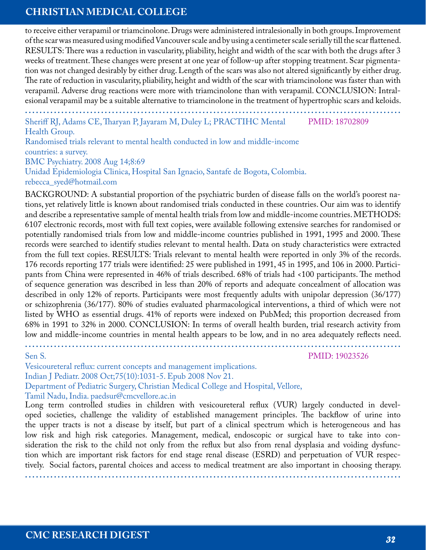to receive either verapamil or triamcinolone. Drugs were administered intralesionally in both groups. Improvement of the scar was measured using modified Vancouver scale and by using a centimeter scale serially till the scar flattened. RESULTS: There was a reduction in vascularity, pliability, height and width of the scar with both the drugs after 3 weeks of treatment. These changes were present at one year of follow-up after stopping treatment. Scar pigmentation was not changed desirably by either drug. Length of the scars was also not altered significantly by either drug. The rate of reduction in vascularity, pliability, height and width of the scar with triamcinolone was faster than with verapamil. Adverse drug reactions were more with triamcinolone than with verapamil. CONCLUSION: Intralesional verapamil may be a suitable alternative to triamcinolone in the treatment of hypertrophic scars and keloids.

Sheriff RJ, Adams CE, Tharyan P, Jayaram M, Duley L; PRACTIHC Mental Health Group. PMID: 18702809

Randomised trials relevant to mental health conducted in low and middle-income countries: a survey. BMC Psychiatry. 2008 Aug 14;8:69 Unidad Epidemiologia Clinica, Hospital San Ignacio, Santafe de Bogota, Colombia.

rebecca\_syed@hotmail.com

BACKGROUND: A substantial proportion of the psychiatric burden of disease falls on the world's poorest nations, yet relatively little is known about randomised trials conducted in these countries. Our aim was to identify and describe a representative sample of mental health trials from low and middle-income countries. METHODS: 6107 electronic records, most with full text copies, were available following extensive searches for randomised or potentially randomised trials from low and middle-income countries published in 1991, 1995 and 2000. These records were searched to identify studies relevant to mental health. Data on study characteristics were extracted from the full text copies. RESULTS: Trials relevant to mental health were reported in only 3% of the records. 176 records reporting 177 trials were identified: 25 were published in 1991, 45 in 1995, and 106 in 2000. Participants from China were represented in 46% of trials described. 68% of trials had <100 participants. The method of sequence generation was described in less than 20% of reports and adequate concealment of allocation was described in only 12% of reports. Participants were most frequently adults with unipolar depression (36/177) or schizophrenia (36/177). 80% of studies evaluated pharmacological interventions, a third of which were not listed by WHO as essential drugs. 41% of reports were indexed on PubMed; this proportion decreased from 68% in 1991 to 32% in 2000. CONCLUSION: In terms of overall health burden, trial research activity from low and middle-income countries in mental health appears to be low, and in no area adequately reflects need.

**........................................................................................................**

Sen S.

PMID: 19023526

Vesicoureteral reflux: current concepts and management implications. Indian J Pediatr. 2008 Oct;75(10):1031-5. Epub 2008 Nov 21. Department of Pediatric Surgery, Christian Medical College and Hospital, Vellore, Tamil Nadu, India. paedsur@cmcvellore.ac.in

Long term controlled studies in children with vesicoureteral reflux (VUR) largely conducted in developed societies, challenge the validity of established management principles. The backflow of urine into the upper tracts is not a disease by itself, but part of a clinical spectrum which is heterogeneous and has low risk and high risk categories. Management, medical, endoscopic or surgical have to take into consideration the risk to the child not only from the reflux but also from renal dysplasia and voiding dysfunction which are important risk factors for end stage renal disease (ESRD) and perpetuation of VUR respectively. Social factors, parental choices and access to medical treatment are also important in choosing therapy.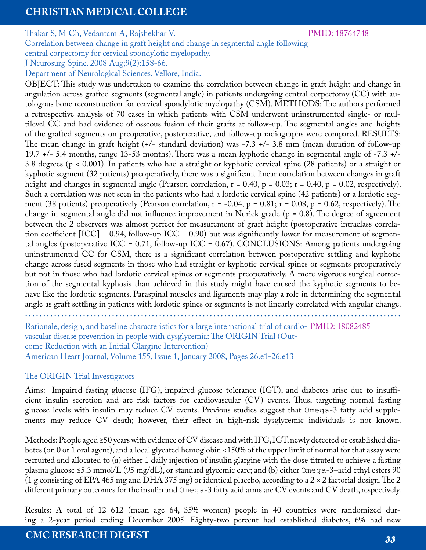Thakar S, M Ch, Vedantam A, Rajshekhar V.

PMID: 18764748

Correlation between change in graft height and change in segmental angle following

central corpectomy for cervical spondylotic myelopathy. J Neurosurg Spine. 2008 Aug;9(2):158-66.

Department of Neurological Sciences, Vellore, India.

OBJECT: This study was undertaken to examine the correlation between change in graft height and change in angulation across grafted segments (segmental angle) in patients undergoing central corpectomy (CC) with autologous bone reconstruction for cervical spondylotic myelopathy (CSM). METHODS: The authors performed a retrospective analysis of 70 cases in which patients with CSM underwent uninstrumented single- or multilevel CC and had evidence of osseous fusion of their grafts at follow-up. The segmental angles and heights of the grafted segments on preoperative, postoperative, and follow-up radiographs were compared. RESULTS: The mean change in graft height (+/- standard deviation) was -7.3 +/- 3.8 mm (mean duration of follow-up 19.7 +/- 5.4 months, range 13-53 months). There was a mean kyphotic change in segmental angle of -7.3 +/- 3.8 degrees (p < 0.001). In patients who had a straight or kyphotic cervical spine (28 patients) or a straight or kyphotic segment (32 patients) preoperatively, there was a significant linear correlation between changes in graft height and changes in segmental angle (Pearson correlation,  $r = 0.40$ ,  $p = 0.03$ ;  $r = 0.40$ ,  $p = 0.02$ , respectively). Such a correlation was not seen in the patients who had a lordotic cervical spine (42 patients) or a lordotic segment (38 patients) preoperatively (Pearson correlation,  $r = -0.04$ ,  $p = 0.81$ ;  $r = 0.08$ ,  $p = 0.62$ , respectively). The change in segmental angle did not influence improvement in Nurick grade  $(p = 0.8)$ . The degree of agreement between the 2 observers was almost perfect for measurement of graft height (postoperative intraclass correlation coefficient  $[ICC] = 0.94$ , follow-up  $ICC = 0.90)$  but was significantly lower for measurement of segmental angles (postoperative ICC = 0.71, follow-up ICC = 0.67). CONCLUSIONS: Among patients undergoing uninstrumented CC for CSM, there is a significant correlation between postoperative settling and kyphotic change across fused segments in those who had straight or kyphotic cervical spines or segments preoperatively but not in those who had lordotic cervical spines or segments preoperatively. A more vigorous surgical correction of the segmental kyphosis than achieved in this study might have caused the kyphotic segments to behave like the lordotic segments. Paraspinal muscles and ligaments may play a role in determining the segmental angle as graft settling in patients with lordotic spines or segments is not linearly correlated with angular change.

**........................................................................................................**

Rationale, design, and baseline characteristics for a large international trial of cardio-PMID: 18082485 vascular disease prevention in people with dysglycemia: The ORIGIN Trial (Outcome Reduction with an Initial Glargine Intervention) American Heart Journal, Volume 155, Issue 1, January 2008, Pages 26.e1-26.e13

#### The ORIGIN Trial Investigators

Aims: Impaired fasting glucose (IFG), impaired glucose tolerance (IGT), and diabetes arise due to insufficient insulin secretion and are risk factors for cardiovascular (CV) events. Thus, targeting normal fasting glucose levels with insulin may reduce CV events. Previous studies suggest that Omega-3 fatty acid supplements may reduce CV death; however, their effect in high-risk dysglycemic individuals is not known.

Methods: People aged ≥50 years with evidence of CV disease and with IFG, IGT, newly detected or established diabetes (on 0 or 1 oral agent), and a local glycated hemoglobin <150% of the upper limit of normal for that assay were recruited and allocated to (a) either 1 daily injection of insulin glargine with the dose titrated to achieve a fasting plasma glucose ≤5.3 mmol/L (95 mg/dL), or standard glycemic care; and (b) either Omega-3–acid ethyl esters 90 (1 g consisting of EPA 465 mg and DHA 375 mg) or identical placebo, according to a 2  $\times$  2 factorial design. The 2 different primary outcomes for the insulin and Omega-3 fatty acid arms are CV events and CV death, respectively.

Results: A total of 12 612 (mean age 64, 35% women) people in 40 countries were randomized during a 2-year period ending December 2005. Eighty-two percent had established diabetes, 6% had new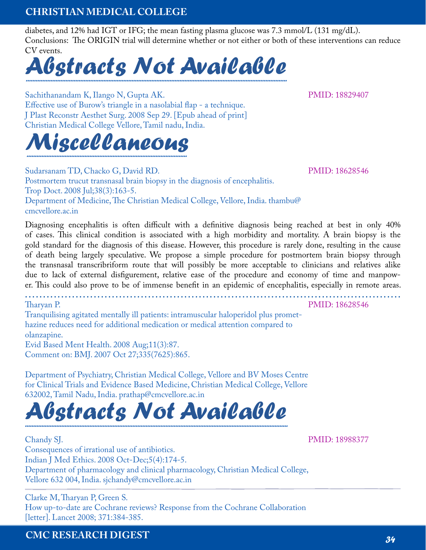diabetes, and 12% had IGT or IFG; the mean fasting plasma glucose was 7.3 mmol/L (131 mg/dL). Conclusions: The ORIGIN trial will determine whether or not either or both of these interventions can reduce CV events.



Sachithanandam K, Ilango N, Gupta AK. Effective use of Burow's triangle in a nasolabial flap - a technique. J Plast Reconstr Aesthet Surg. 2008 Sep 29. [Epub ahead of print] Christian Medical College Vellore, Tamil nadu, India.

# *Miscellaneous .................................................................................................*

Sudarsanam TD, Chacko G, David RD. Postmortem trucut transnasal brain biopsy in the diagnosis of encephalitis. Trop Doct. 2008 Jul;38(3):163-5. Department of Medicine, The Christian Medical College, Vellore, India. thambu@ cmcvellore.ac.in

Diagnosing encephalitis is often difficult with a definitive diagnosis being reached at best in only 40% of cases. This clinical condition is associated with a high morbidity and mortality. A brain biopsy is the gold standard for the diagnosis of this disease. However, this procedure is rarely done, resulting in the cause of death being largely speculative. We propose a simple procedure for postmortem brain biopsy through the transnasal transcribriform route that will possibly be more acceptable to clinicians and relatives alike due to lack of external disfigurement, relative ease of the procedure and economy of time and manpower. This could also prove to be of immense benefit in an epidemic of encephalitis, especially in remote areas.

**........................................................................................................**

Tharyan P. Tranquilising agitated mentally ill patients: intramuscular haloperidol plus promethazine reduces need for additional medication or medical attention compared to olanzapine. Evid Based Ment Health. 2008 Aug;11(3):87. Comment on: BMJ. 2007 Oct 27;335(7625):865.

Department of Psychiatry, Christian Medical College, Vellore and BV Moses Centre for Clinical Trials and Evidence Based Medicine, Christian Medical College, Vellore 632002, Tamil Nadu, India. prathap@cmcvellore.ac.in

# *Abstracts Not Available ...............................................................................................................................................................*

Chandy SJ. Consequences of irrational use of antibiotics. Indian J Med Ethics. 2008 Oct-Dec;5(4):174-5. Department of pharmacology and clinical pharmacology, Christian Medical College, Vellore 632 004, India. sjchandy@cmcvellore.ac.in

Clarke M, Tharyan P, Green S. How up-to-date are Cochrane reviews? Response from the Cochrane Collaboration [letter]. Lancet 2008; 371:384-385.

PMID: 18988377

PMID: 18628546

PMID: 18628546

PMID: 18829407

**CMC RESEARCH DIGEST** *34*